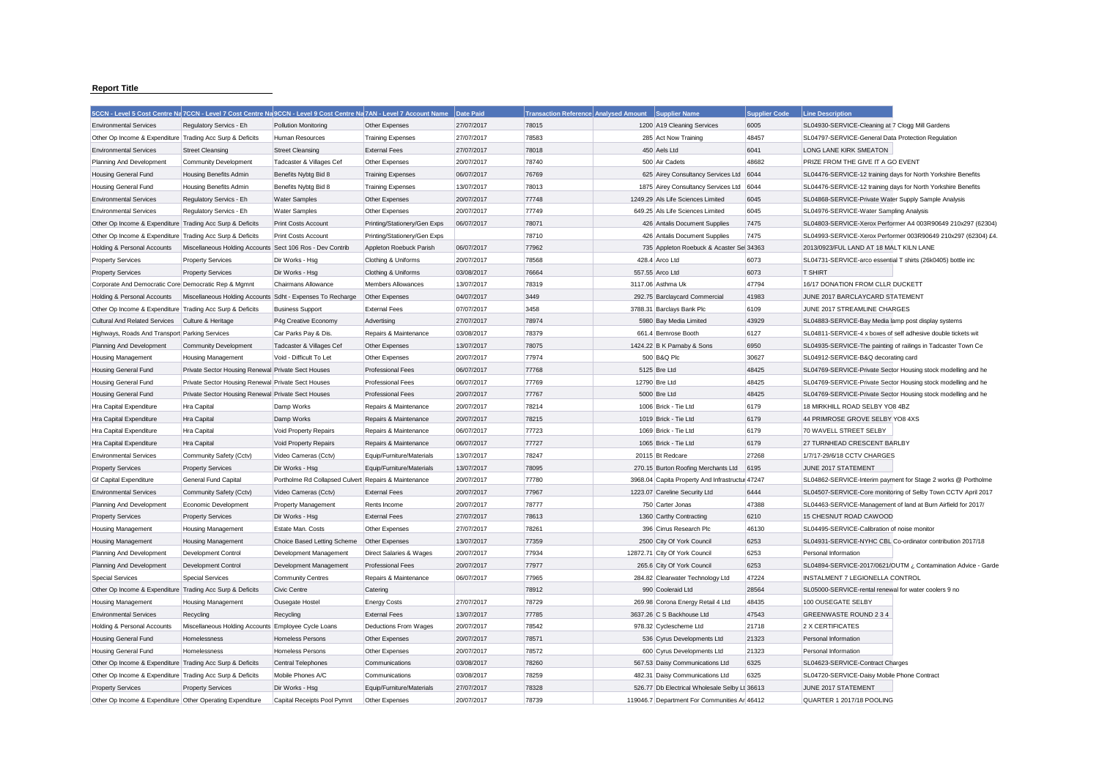## **Report Title**

|                                                           | 5CCN - Level 5 Cost Centre Na 7CCN - Level 7 Cost Centre Na 9CCN - Level 9 Cost Centre Na 7AN - Level 7 Account Name |                                                      |                              | Date Paid  | <b>Transaction Reference Analysed Amount</b> | Supplier Name                                   | <b>Supplier Code</b> | <b>Line Description</b>                                       |                                                               |
|-----------------------------------------------------------|----------------------------------------------------------------------------------------------------------------------|------------------------------------------------------|------------------------------|------------|----------------------------------------------|-------------------------------------------------|----------------------|---------------------------------------------------------------|---------------------------------------------------------------|
| <b>Environmental Services</b>                             | Regulatory Servics - Eh                                                                                              | <b>Pollution Monitoring</b>                          | Other Expenses               | 27/07/2017 | 78015                                        | 1200 A19 Cleaning Services                      | 6005                 | SL04930-SERVICE-Cleaning at 7 Clogg Mill Gardens              |                                                               |
| Other Op Income & Expenditure Trading Acc Surp & Deficits |                                                                                                                      | Human Resources                                      | <b>Training Expenses</b>     | 27/07/2017 | 78583                                        | 285 Act Now Training                            | 48457                | SL04797-SERVICE-General Data Protection Regulation            |                                                               |
| <b>Environmental Services</b>                             | <b>Street Cleansing</b>                                                                                              | <b>Street Cleansing</b>                              | <b>External Fees</b>         | 27/07/2017 | 78018                                        | 450 Aels Ltd                                    | 6041                 | LONG LANE KIRK SMEATON                                        |                                                               |
| Planning And Development                                  | <b>Community Development</b>                                                                                         | Tadcaster & Villages Cef                             | Other Expenses               | 20/07/2017 | 78740                                        | 500 Air Cadets                                  | 48682                | PRIZE FROM THE GIVE IT A GO EVENT                             |                                                               |
| Housing General Fund                                      | <b>Housing Benefits Admin</b>                                                                                        | Benefits Nybtg Bid 8                                 | <b>Training Expenses</b>     | 06/07/2017 | 76769                                        | 625 Airey Consultancy Services Ltd              | 6044                 | SL04476-SERVICE-12 training days for North Yorkshire Benefits |                                                               |
| Housing General Fund                                      | <b>Housing Benefits Admin</b>                                                                                        | Benefits Nybtg Bid 8                                 | <b>Training Expenses</b>     | 13/07/2017 | 78013                                        | 1875 Airey Consultancy Services Ltd 6044        |                      | SL04476-SERVICE-12 training days for North Yorkshire Benefits |                                                               |
| <b>Environmental Services</b>                             | Regulatory Servics - Eh                                                                                              | <b>Water Samples</b>                                 | Other Expenses               | 20/07/2017 | 77748                                        | 1249.29 Als Life Sciences Limited               | 6045                 | SL04868-SERVICE-Private Water Supply Sample Analysis          |                                                               |
| <b>Environmental Services</b>                             | Regulatory Servics - Eh                                                                                              | <b>Water Samples</b>                                 | Other Expenses               | 20/07/2017 | 77749                                        | 649.25 Als Life Sciences Limited                | 6045                 | SL04976-SERVICE-Water Sampling Analysis                       |                                                               |
| Other Op Income & Expenditure Trading Acc Surp & Deficits |                                                                                                                      | Print Costs Account                                  | Printing/Stationery/Gen Exps | 06/07/2017 | 78071                                        | 426 Antalis Document Supplies                   | 7475                 |                                                               | SL04803-SERVICE-Xerox Performer A4 003R90649 210x297 (62304)  |
| Other Op Income & Expenditure Trading Acc Surp & Deficits |                                                                                                                      | Print Costs Account                                  | Printing/Stationery/Gen Exps |            | 78710                                        | 426 Antalis Document Supplies                   | 7475                 |                                                               | SL04993-SERVICE-Xerox Performer 003R90649 210x297 (62304) £4. |
| Holding & Personal Accounts                               | Miscellaneous Holding Accounts Sect 106 Ros - Dev Contrib                                                            |                                                      | Appleton Roebuck Parish      | 06/07/2017 | 77962                                        | 735 Appleton Roebuck & Acaster Sel 34363        |                      | 2013/0923/FUL LAND AT 18 MALT KILN LANE                       |                                                               |
| <b>Property Services</b>                                  | <b>Property Services</b>                                                                                             | Dir Works - Hsg                                      | Clothing & Uniforms          | 20/07/2017 | 78568                                        | 428.4 Arco Ltd                                  | 6073                 | SL04731-SERVICE-arco essential T shirts (26k0405) bottle inc  |                                                               |
| <b>Property Services</b>                                  | <b>Property Services</b>                                                                                             | Dir Works - Hsg                                      | Clothing & Uniforms          | 03/08/2017 | 76664                                        | 557.55 Arco Ltd                                 | 6073                 | <b>T SHIRT</b>                                                |                                                               |
| Corporate And Democratic Core Democratic Rep & Mgmnt      |                                                                                                                      | <b>Chairmans Allowance</b>                           | <b>Members Allowances</b>    | 13/07/2017 | 78319                                        | 3117.06 Asthma Uk                               | 47794                | 16/17 DONATION FROM CLLR DUCKETT                              |                                                               |
| Holding & Personal Accounts                               | Miscellaneous Holding Accounts Sdht - Expenses To Recharge                                                           |                                                      | Other Expenses               | 04/07/2017 | 3449                                         | 292.75 Barclaycard Commercial                   | 41983                | JUNE 2017 BARCLAYCARD STATEMENT                               |                                                               |
| Other Op Income & Expenditure Trading Acc Surp & Deficits |                                                                                                                      | <b>Business Support</b>                              | <b>External Fees</b>         | 07/07/2017 | 3458                                         | 3788.31 Barclays Bank Plc                       | 6109                 | JUNE 2017 STREAMLINE CHARGES                                  |                                                               |
| <b>Cultural And Related Services</b>                      | Culture & Heritage                                                                                                   | P4g Creative Economy                                 | Advertising                  | 27/07/2017 | 78974                                        | 5980 Bay Media Limited                          | 43929                | SL04883-SERVICE-Bay Media lamp post display systems           |                                                               |
| Highways, Roads And Transport Parking Services            |                                                                                                                      | Car Parks Pay & Dis                                  | Repairs & Maintenance        | 03/08/2017 | 78379                                        | 661.4 Bemrose Booth                             | 6127                 | SL04811-SERVICE-4 x boxes of self adhesive double tickets wit |                                                               |
| Planning And Development                                  | <b>Community Development</b>                                                                                         | Tadcaster & Villages Cef                             | Other Expenses               | 13/07/2017 | 78075                                        | 1424.22 B K Parnaby & Sons                      | 6950                 |                                                               | SL04935-SERVICE-The painting of railings in Tadcaster Town Ce |
| <b>Housing Management</b>                                 | <b>Housing Management</b>                                                                                            | Void - Difficult To Let                              | Other Expenses               | 20/07/2017 | 77974                                        | 500 B&Q Plc                                     | 30627                | SL04912-SERVICE-B&Q decorating card                           |                                                               |
| <b>Housing General Fund</b>                               | Private Sector Housing Renewal Private Sect Houses                                                                   |                                                      | Professional Fees            | 06/07/2017 | 77768                                        | 5125 Bre Ltd                                    | 48425                |                                                               | SL04769-SERVICE-Private Sector Housing stock modelling and he |
| <b>Housing General Fund</b>                               | Private Sector Housing Renewal Private Sect Houses                                                                   |                                                      | <b>Professional Fees</b>     | 06/07/2017 | 77769                                        | 12790 Bre Ltd                                   | 48425                |                                                               | SL04769-SERVICE-Private Sector Housing stock modelling and he |
| <b>Housing General Fund</b>                               | Private Sector Housing Renewal Private Sect Houses                                                                   |                                                      | Professional Fees            | 20/07/2017 | 77767                                        | 5000 Bre Ltd                                    | 48425                |                                                               | SL04769-SERVICE-Private Sector Housing stock modelling and he |
| Hra Capital Expenditure                                   | Hra Capital                                                                                                          | Damp Works                                           | Repairs & Maintenance        | 20/07/2017 | 78214                                        | 1006 Brick - Tie Ltd                            | 6179                 | 18 MIRKHILL ROAD SELBY YO8 4BZ                                |                                                               |
| Hra Capital Expenditure                                   | Hra Capital                                                                                                          | Damp Works                                           | Repairs & Maintenance        | 20/07/2017 | 78215                                        | 1019 Brick - Tie Ltd                            | 6179                 | 44 PRIMROSE GROVE SELBY YO8 4XS                               |                                                               |
| Hra Capital Expenditure                                   | Hra Capital                                                                                                          | Void Property Repairs                                | Repairs & Maintenance        | 06/07/2017 | 77723                                        | 1069 Brick - Tie Ltd                            | 6179                 | 70 WAVELL STREET SELBY                                        |                                                               |
| Hra Capital Expenditure                                   | <b>Hra Capital</b>                                                                                                   | Void Property Repairs                                | Repairs & Maintenance        | 06/07/2017 | 77727                                        | 1065 Brick - Tie Ltd                            | 6179                 | 27 TURNHEAD CRESCENT BARLBY                                   |                                                               |
| <b>Environmental Services</b>                             | Community Safety (Cctv)                                                                                              | Video Cameras (Cctv)                                 | Equip/Furniture/Materials    | 13/07/2017 | 78247                                        | 20115 Bt Redcare                                | 27268                | 1/7/17-29/6/18 CCTV CHARGES                                   |                                                               |
|                                                           |                                                                                                                      | Dir Works - Hsg                                      | Equip/Furniture/Materials    | 13/07/2017 | 78095                                        | 270.15 Burton Roofing Merchants Ltd             | 6195                 | JUNE 2017 STATEMENT                                           |                                                               |
| <b>Property Services</b>                                  | <b>Property Services</b>                                                                                             |                                                      |                              | 20/07/2017 | 77780                                        |                                                 |                      |                                                               |                                                               |
| <b>Gf Capital Expenditure</b>                             | General Fund Capital                                                                                                 | Portholme Rd Collapsed Culvert Repairs & Maintenance |                              |            | 77967                                        | 3968.04 Capita Property And Infrastructur 47247 |                      |                                                               | SL04862-SERVICE-Interim payment for Stage 2 works @ Portholme |
| <b>Environmental Services</b>                             | Community Safety (Cctv)                                                                                              | Video Cameras (Cctv)                                 | <b>External Fees</b>         | 20/07/2017 |                                              | 1223.07 Careline Security Ltd                   | 6444                 |                                                               | SL04507-SERVICE-Core monitoring of Selby Town CCTV April 2017 |
| Planning And Development                                  | Economic Development                                                                                                 | <b>Property Management</b>                           | Rents Income                 | 20/07/2017 | 78777                                        | 750 Carter Jonas                                | 47388                |                                                               | SL04463-SERVICE-Management of land at Burn Airfield for 2017/ |
| <b>Property Services</b>                                  | <b>Property Services</b>                                                                                             | Dir Works - Hsg                                      | <b>External Fees</b>         | 27/07/2017 | 78613                                        | 1360 Carthy Contracting                         | 6210                 | 15 CHESNUT ROAD CAWOOD                                        |                                                               |
| <b>Housing Management</b>                                 | <b>Housing Management</b>                                                                                            | Estate Man. Costs                                    | Other Expenses               | 27/07/2017 | 78261                                        | 396 Cirrus Research Plc                         | 46130                | SL04495-SERVICE-Calibration of noise monitor                  |                                                               |
| <b>Housing Management</b>                                 | <b>Housing Management</b>                                                                                            | Choice Based Letting Scheme                          | Other Expenses               | 13/07/2017 | 77359                                        | 2500 City Of York Council                       | 6253                 |                                                               | SL04931-SERVICE-NYHC CBL Co-ordinator contribution 2017/18    |
| Planning And Development                                  | Development Control                                                                                                  | Development Management                               | Direct Salaries & Wages      | 20/07/2017 | 77934                                        | 12872.71 City Of York Council                   | 6253                 | Personal Information                                          |                                                               |
| Planning And Development                                  | Development Control                                                                                                  | Development Management                               | Professional Fees            | 20/07/2017 | 77977                                        | 265.6 City Of York Council                      | 6253                 |                                                               | SL04894-SERVICE-2017/0621/OUTM ¿ Contamination Advice - Garde |
| <b>Special Services</b>                                   | Special Services                                                                                                     | <b>Community Centres</b>                             | Repairs & Maintenance        | 06/07/2017 | 77965                                        | 284.82 Clearwater Technology Ltd                | 47224                | INSTALMENT 7 LEGIONELLA CONTROL                               |                                                               |
| Other Op Income & Expenditure Trading Acc Surp & Deficits |                                                                                                                      | Civic Centre                                         | Catering                     |            | 78912                                        | 990 Cooleraid Ltd                               | 28564                | SL05000-SERVICE-rental renewal for water coolers 9 no         |                                                               |
| <b>Housing Management</b>                                 | <b>Housing Management</b>                                                                                            | Ousegate Hostel                                      | <b>Energy Costs</b>          | 27/07/2017 | 78729                                        | 269.98 Corona Energy Retail 4 Ltd               | 48435                | 100 OUSEGATE SELBY                                            |                                                               |
| <b>Environmental Services</b>                             | Recycling                                                                                                            | Recycling                                            | <b>External Fees</b>         | 13/07/2017 | 77785                                        | 3637.26 C S Backhouse Ltd                       | 47543                | <b>GREENWASTE ROUND 2 3 4</b>                                 |                                                               |
| Holding & Personal Accounts                               | Miscellaneous Holding Accounts Employee Cycle Loans                                                                  |                                                      | Deductions From Wages        | 20/07/2017 | 78542                                        | 978.32 Cyclescheme Ltd                          | 21718                | 2 X CERTIFICATES                                              |                                                               |
| <b>Housing General Fund</b>                               | Homelessness                                                                                                         | Homeless Persons                                     | Other Expenses               | 20/07/2017 | 78571                                        | 536 Cyrus Developments Ltd                      | 21323                | Personal Information                                          |                                                               |
| <b>Housing General Fund</b>                               | Homelessness                                                                                                         | <b>Homeless Persons</b>                              | Other Expenses               | 20/07/2017 | 78572                                        | 600 Cyrus Developments Ltd                      | 21323                | Personal Information                                          |                                                               |
| Other Op Income & Expenditure Trading Acc Surp & Deficits |                                                                                                                      | Central Telephones                                   | Communications               | 03/08/2017 | 78260                                        | 567.53 Daisy Communications Ltd                 | 6325                 | SL04623-SERVICE-Contract Charges                              |                                                               |
| Other Op Income & Expenditure Trading Acc Surp & Deficits |                                                                                                                      | Mobile Phones A/C                                    | Communications               | 03/08/2017 | 78259                                        | 482.31 Daisy Communications Ltd                 | 6325                 | SL04720-SERVICE-Daisy Mobile Phone Contract                   |                                                               |
| <b>Property Services</b>                                  | <b>Property Services</b>                                                                                             | Dir Works - Hsg                                      | Equip/Furniture/Materials    | 27/07/2017 | 78328                                        | 526.77 Db Electrical Wholesale Selby Lt 36613   |                      | JUNE 2017 STATEMENT                                           |                                                               |
| Other Op Income & Expenditure Other Operating Expenditure |                                                                                                                      | Capital Receipts Pool Pymnt                          | Other Expenses               | 20/07/2017 | 78739                                        | 119046.7 Department For Communities Ar 46412    |                      | QUARTER 1 2017/18 POOLING                                     |                                                               |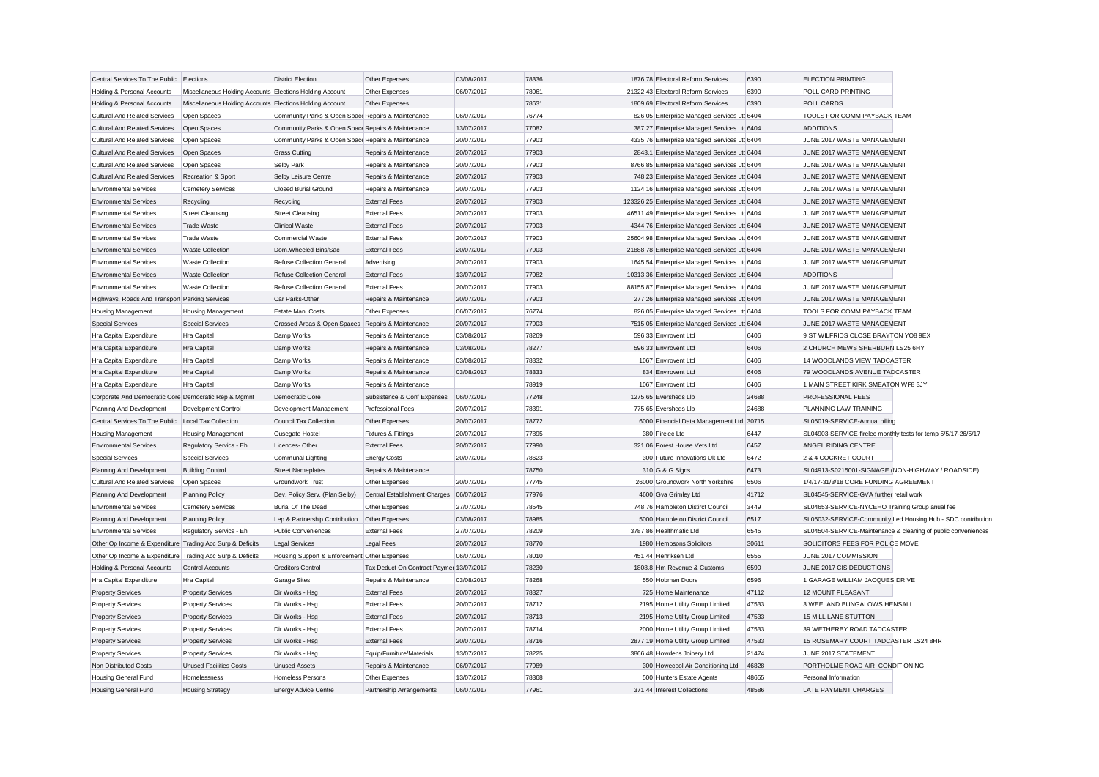| Central Services To The Public                            | Elections                                                | <b>District Election</b>                           | Other Expenses                           | 03/08/2017 | 78336 | 1876.78 Electoral Reform Services              | 6390  | <b>ELECTION PRINTING</b>                                      |                                                               |
|-----------------------------------------------------------|----------------------------------------------------------|----------------------------------------------------|------------------------------------------|------------|-------|------------------------------------------------|-------|---------------------------------------------------------------|---------------------------------------------------------------|
| Holding & Personal Accounts                               | Miscellaneous Holding Accounts Elections Holding Account |                                                    | Other Expenses                           | 06/07/2017 | 78061 | 21322.43 Electoral Reform Services             | 6390  | POLL CARD PRINTING                                            |                                                               |
| Holding & Personal Accounts                               | Miscellaneous Holding Accounts Elections Holding Account |                                                    | Other Expenses                           |            | 78631 | 1809.69 Electoral Reform Services              | 6390  | POLL CARDS                                                    |                                                               |
| <b>Cultural And Related Services</b>                      | Open Spaces                                              | Community Parks & Open Space Repairs & Maintenance |                                          | 06/07/2017 | 76774 | 826.05 Enterprise Managed Services Ltd 6404    |       | TOOLS FOR COMM PAYBACK TEAM                                   |                                                               |
| <b>Cultural And Related Services</b>                      | Open Spaces                                              | Community Parks & Open Space Repairs & Maintenance |                                          | 13/07/2017 | 77082 | 387.27 Enterprise Managed Services Ltd 6404    |       | <b>ADDITIONS</b>                                              |                                                               |
| <b>Cultural And Related Services</b>                      | Open Spaces                                              | Community Parks & Open Space Repairs & Maintenance |                                          | 20/07/2017 | 77903 | 4335.76 Enterprise Managed Services Ltd 6404   |       | JUNE 2017 WASTE MANAGEMENT                                    |                                                               |
| <b>Cultural And Related Services</b>                      | Open Spaces                                              | <b>Grass Cutting</b>                               | Repairs & Maintenance                    | 20/07/2017 | 77903 | 2843.1 Enterprise Managed Services Ltd 6404    |       | JUNE 2017 WASTE MANAGEMENT                                    |                                                               |
| Cultural And Related Services                             | Open Spaces                                              | Selby Park                                         | Repairs & Maintenance                    | 20/07/2017 | 77903 | 8766.85 Enterprise Managed Services Ltd 6404   |       | JUNE 2017 WASTE MANAGEMENT                                    |                                                               |
| <b>Cultural And Related Services</b>                      | Recreation & Sport                                       | Selby Leisure Centre                               | Repairs & Maintenance                    | 20/07/2017 | 77903 | 748.23 Enterprise Managed Services Ltd 6404    |       | JUNE 2017 WASTE MANAGEMENT                                    |                                                               |
| <b>Environmental Services</b>                             | <b>Cemetery Services</b>                                 | <b>Closed Burial Ground</b>                        | Repairs & Maintenance                    | 20/07/2017 | 77903 | 1124.16 Enterprise Managed Services Ltd 6404   |       | JUNE 2017 WASTE MANAGEMENT                                    |                                                               |
| <b>Environmental Services</b>                             | Recycling                                                | Recycling                                          | <b>External Fees</b>                     | 20/07/2017 | 77903 | 123326.25 Enterprise Managed Services Ltd 6404 |       | JUNE 2017 WASTE MANAGEMENT                                    |                                                               |
| <b>Environmental Services</b>                             | <b>Street Cleansing</b>                                  | <b>Street Cleansing</b>                            | <b>External Fees</b>                     | 20/07/2017 | 77903 | 46511.49 Enterprise Managed Services Ltd 6404  |       | JUNE 2017 WASTE MANAGEMENT                                    |                                                               |
| <b>Environmental Services</b>                             | <b>Trade Waste</b>                                       | Clinical Waste                                     | <b>External Fees</b>                     | 20/07/2017 | 77903 | 4344.76 Enterprise Managed Services Ltc 6404   |       | JUNE 2017 WASTE MANAGEMENT                                    |                                                               |
| <b>Environmental Services</b>                             | <b>Trade Waste</b>                                       | Commercial Waste                                   | <b>External Fees</b>                     | 20/07/2017 | 77903 | 25604.98 Enterprise Managed Services Ltd 6404  |       | JUNE 2017 WASTE MANAGEMENT                                    |                                                               |
| <b>Environmental Services</b>                             | <b>Waste Collection</b>                                  | Dom.Wheeled Bins/Sac                               | <b>External Fees</b>                     | 20/07/2017 | 77903 | 21888.78 Enterprise Managed Services Ltc 6404  |       | JUNE 2017 WASTE MANAGEMENT                                    |                                                               |
| <b>Environmental Services</b>                             | <b>Waste Collection</b>                                  | Refuse Collection General                          | Advertising                              | 20/07/2017 | 77903 | 1645.54 Enterprise Managed Services Ltd 6404   |       | JUNE 2017 WASTE MANAGEMENT                                    |                                                               |
| <b>Environmental Services</b>                             | <b>Waste Collection</b>                                  | <b>Refuse Collection General</b>                   | <b>External Fees</b>                     | 13/07/2017 | 77082 | 10313.36 Enterprise Managed Services Ltd 6404  |       | <b>ADDITIONS</b>                                              |                                                               |
| <b>Environmental Services</b>                             | <b>Waste Collection</b>                                  | <b>Refuse Collection General</b>                   | <b>External Fees</b>                     | 20/07/2017 | 77903 | 88155.87 Enterprise Managed Services Ltd 6404  |       | JUNE 2017 WASTE MANAGEMENT                                    |                                                               |
| Highways, Roads And Transport Parking Services            |                                                          | Car Parks-Other                                    | Repairs & Maintenance                    | 20/07/2017 | 77903 | 277.26 Enterprise Managed Services Ltc 6404    |       | JUNE 2017 WASTE MANAGEMENT                                    |                                                               |
| <b>Housing Management</b>                                 | Housing Management                                       | Estate Man. Costs                                  | Other Expenses                           | 06/07/2017 | 76774 | 826.05 Enterprise Managed Services Ltd 6404    |       | TOOLS FOR COMM PAYBACK TEAM                                   |                                                               |
| <b>Special Services</b>                                   | <b>Special Services</b>                                  | Grassed Areas & Open Spaces Repairs & Maintenance  |                                          | 20/07/2017 | 77903 | 7515.05 Enterprise Managed Services Ltc 6404   |       | JUNE 2017 WASTE MANAGEMENT                                    |                                                               |
| Hra Capital Expenditure                                   | Hra Capital                                              | Damp Works                                         | Repairs & Maintenance                    | 03/08/2017 | 78269 | 596.33 Envirovent Ltd                          | 6406  | 9 ST WILFRIDS CLOSE BRAYTON YO8 9EX                           |                                                               |
| Hra Capital Expenditure                                   | Hra Capital                                              | Damp Works                                         | Repairs & Maintenance                    | 03/08/2017 | 78277 | 596.33 Envirovent Ltd                          | 6406  | 2 CHURCH MEWS SHERBURN LS25 6HY                               |                                                               |
| Hra Capital Expenditure                                   | Hra Capital                                              | Damp Works                                         | Repairs & Maintenance                    | 03/08/2017 | 78332 | 1067 Envirovent Ltd                            | 6406  | 14 WOODLANDS VIEW TADCASTER                                   |                                                               |
| Hra Capital Expenditure                                   | Hra Capital                                              | Damp Works                                         | Repairs & Maintenance                    | 03/08/2017 | 78333 | 834 Envirovent Ltd                             | 6406  | 79 WOODLANDS AVENUE TADCASTER                                 |                                                               |
| Hra Capital Expenditure                                   | Hra Capital                                              | Damp Works                                         | Repairs & Maintenance                    |            | 78919 | 1067 Envirovent Ltd                            | 6406  | 1 MAIN STREET KIRK SMEATON WF8 3JY                            |                                                               |
| Corporate And Democratic Core Democratic Rep & Mgmnt      |                                                          | Democratic Core                                    | Subsistence & Conf Expenses              | 06/07/2017 | 77248 | 1275.65 Eversheds Llp                          | 24688 | <b>PROFESSIONAL FEES</b>                                      |                                                               |
| Planning And Development                                  | Development Control                                      | Development Management                             | <b>Professional Fees</b>                 | 20/07/2017 | 78391 | 775.65 Eversheds Llp                           | 24688 | PLANNING LAW TRAINING                                         |                                                               |
| Central Services To The Public                            | Local Tax Collection                                     | <b>Council Tax Collection</b>                      | Other Expenses                           | 20/07/2017 | 78772 | 6000 Financial Data Management Ltd 30715       |       | SL05019-SERVICE-Annual billing                                |                                                               |
| <b>Housing Management</b>                                 | Housing Management                                       | Ousegate Hostel                                    | Fixtures & Fittings                      | 20/07/2017 | 77895 | 380 Firelec Ltd                                | 6447  | SL04903-SERVICE-firelec monthly tests for temp 5/5/17-26/5/17 |                                                               |
| <b>Environmental Services</b>                             | Regulatory Servics - Eh                                  | Licences-Other                                     | <b>External Fees</b>                     | 20/07/2017 | 77990 | 321.06 Forest House Vets Ltd                   | 6457  | ANGEL RIDING CENTRE                                           |                                                               |
| <b>Special Services</b>                                   | <b>Special Services</b>                                  | Communal Lighting                                  | <b>Energy Costs</b>                      | 20/07/2017 | 78623 | 300 Future Innovations Uk Ltd                  | 6472  | 2 & 4 COCKRET COURT                                           |                                                               |
| Planning And Development                                  | <b>Building Control</b>                                  | <b>Street Nameplates</b>                           | Repairs & Maintenance                    |            | 78750 | 310 G & G Signs                                | 6473  | SL04913-S0215001-SIGNAGE (NON-HIGHWAY / ROADSIDE)             |                                                               |
| <b>Cultural And Related Services</b>                      | Open Spaces                                              | <b>Groundwork Trust</b>                            | Other Expenses                           | 20/07/2017 | 77745 | 26000 Groundwork North Yorkshire               | 6506  | 1/4/17-31/3/18 CORE FUNDING AGREEMENT                         |                                                               |
| Planning And Development                                  | <b>Planning Policy</b>                                   | Dev. Policy Serv. (Plan Selby)                     | Central Establishment Charges            | 06/07/2017 | 77976 | 4600 Gva Grimley Ltd                           | 41712 | SL04545-SERVICE-GVA further retail work                       |                                                               |
| <b>Environmental Services</b>                             | <b>Cemetery Services</b>                                 | Burial Of The Dead                                 | Other Expenses                           | 27/07/2017 | 78545 | 748.76 Hambleton Distirct Council              | 3449  | SL04653-SERVICE-NYCEHO Training Group anual fee               |                                                               |
| Planning And Development                                  | <b>Planning Policy</b>                                   | Lep & Partnership Contribution                     | Other Expenses                           | 03/08/2017 | 78985 | 5000 Hambleton District Council                | 6517  |                                                               | SL05032-SERVICE-Community Led Housing Hub - SDC contribution  |
| <b>Environmental Services</b>                             | Regulatory Servics - Eh                                  | <b>Public Conveniences</b>                         | <b>External Fees</b>                     | 27/07/2017 | 78209 | 3787.86 Healthmatic Ltd                        | 6545  |                                                               | SL04504-SERVICE-Maintenance & cleaning of public conveniences |
| Other Op Income & Expenditure Trading Acc Surp & Deficits |                                                          | <b>Legal Services</b>                              | <b>Legal Fees</b>                        | 20/07/2017 | 78770 | 1980 Hempsons Solicitors                       | 30611 | SOLICITORS FEES FOR POLICE MOVE                               |                                                               |
| Other Op Income & Expenditure Trading Acc Surp & Deficits |                                                          | Housing Support & Enforcement Other Expenses       |                                          | 06/07/2017 | 78010 | 451.44 Henriksen Ltd                           | 6555  | JUNE 2017 COMMISSION                                          |                                                               |
| Holding & Personal Accounts                               | Control Accounts                                         | <b>Creditors Control</b>                           | Tax Deduct On Contract Paymer 13/07/2017 |            | 78230 | 1808.8 Hm Revenue & Customs                    | 6590  | JUNE 2017 CIS DEDUCTIONS                                      |                                                               |
| Hra Capital Expenditure                                   | Hra Capital                                              | <b>Garage Sites</b>                                | Repairs & Maintenance                    | 03/08/2017 | 78268 | 550 Hobman Doors                               | 6596  | 1 GARAGE WILLIAM JACQUES DRIVE                                |                                                               |
| <b>Property Services</b>                                  | <b>Property Services</b>                                 | Dir Works - Hsa                                    | <b>External Fees</b>                     | 20/07/2017 | 78327 | 725 Home Maintenance                           | 47112 | 12 MOUNT PLEASANT                                             |                                                               |
| <b>Property Services</b>                                  | <b>Property Services</b>                                 | Dir Works - Hsg                                    | <b>External Fees</b>                     | 20/07/2017 | 78712 | 2195 Home Utility Group Limited                | 47533 | 3 WEELAND BUNGALOWS HENSALL                                   |                                                               |
| <b>Property Services</b>                                  | <b>Property Services</b>                                 | Dir Works - Hsg                                    | <b>External Fees</b>                     | 20/07/2017 | 78713 | 2195 Home Utility Group Limited                | 47533 | 15 MILL LANE STUTTON                                          |                                                               |
| <b>Property Services</b>                                  | <b>Property Services</b>                                 | Dir Works - Hsg                                    | <b>External Fees</b>                     | 20/07/2017 | 78714 | 2000 Home Utility Group Limited                | 47533 | 39 WETHERBY ROAD TADCASTER                                    |                                                               |
| <b>Property Services</b>                                  | <b>Property Services</b>                                 | Dir Works - Hsg                                    | <b>External Fees</b>                     | 20/07/2017 | 78716 | 2877.19 Home Utility Group Limited             | 47533 | 15 ROSEMARY COURT TADCASTER LS24 8HR                          |                                                               |
| <b>Property Services</b>                                  | <b>Property Services</b>                                 | Dir Works - Hsg                                    | Equip/Furniture/Materials                | 13/07/2017 | 78225 | 3866.48 Howdens Joinery Ltd                    | 21474 | JUNE 2017 STATEMENT                                           |                                                               |
| Non Distributed Costs                                     | <b>Unused Facilities Costs</b>                           | <b>Unused Assets</b>                               | Repairs & Maintenance                    | 06/07/2017 | 77989 | 300 Howecool Air Conditioning Ltd              | 46828 | PORTHOLME ROAD AIR CONDITIONING                               |                                                               |
| Housing General Fund                                      | Homelessness                                             | Homeless Persons                                   | Other Expenses                           | 13/07/2017 | 78368 | 500 Hunters Estate Agents                      | 48655 | Personal Information                                          |                                                               |
| <b>Housing General Fund</b>                               | <b>Housing Strategy</b>                                  | <b>Energy Advice Centre</b>                        | Partnership Arrangements                 | 06/07/2017 | 77961 | 371.44 Interest Collections                    | 48586 | <b>LATE PAYMENT CHARGES</b>                                   |                                                               |
|                                                           |                                                          |                                                    |                                          |            |       |                                                |       |                                                               |                                                               |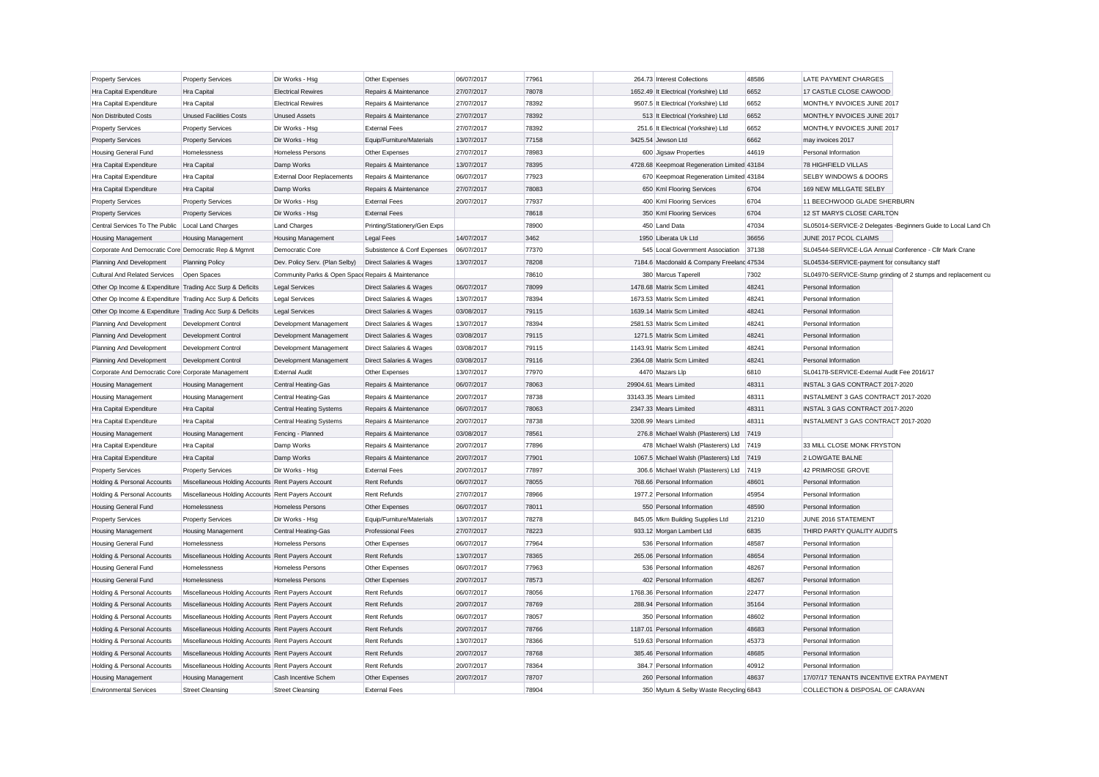| <b>Property Services</b>                                  | <b>Property Services</b>                           | Dir Works - Hsg                                    | Other Expenses                     | 06/07/2017 | 77961 | 264.73 Interest Collections                 | 48586 | LATE PAYMENT CHARGES                                    |                                                               |
|-----------------------------------------------------------|----------------------------------------------------|----------------------------------------------------|------------------------------------|------------|-------|---------------------------------------------|-------|---------------------------------------------------------|---------------------------------------------------------------|
| Hra Capital Expenditure                                   | Hra Capital                                        | <b>Electrical Rewires</b>                          | Repairs & Maintenance              | 27/07/2017 | 78078 | 1652.49 It Electrical (Yorkshire) Ltd       | 6652  | 17 CASTLE CLOSE CAWOOD                                  |                                                               |
| Hra Capital Expenditure                                   | Hra Capital                                        | <b>Electrical Rewires</b>                          | Repairs & Maintenance              | 27/07/2017 | 78392 | 9507.5 It Electrical (Yorkshire) Ltd        | 6652  | MONTHLY INVOICES JUNE 2017                              |                                                               |
| Non Distributed Costs                                     | <b>Unused Facilities Costs</b>                     | <b>Unused Assets</b>                               | Repairs & Maintenance              | 27/07/2017 | 78392 | 513 It Electrical (Yorkshire) Ltd           | 6652  | MONTHLY INVOICES JUNE 2017                              |                                                               |
| <b>Property Services</b>                                  | <b>Property Services</b>                           | Dir Works - Hsg                                    | <b>External Fees</b>               | 27/07/2017 | 78392 | 251.6 It Electrical (Yorkshire) Ltd         | 6652  | MONTHLY INVOICES JUNE 2017                              |                                                               |
| <b>Property Services</b>                                  | <b>Property Services</b>                           | Dir Works - Hsg                                    | Equip/Furniture/Materials          | 13/07/2017 | 77158 | 3425.54 Jewson Ltd                          | 6662  | may invoices 2017                                       |                                                               |
| Housing General Fund                                      | Homelessness                                       | Homeless Persons                                   | Other Expenses                     | 27/07/2017 | 78983 | 600 Jigsaw Properties                       | 44619 | Personal Information                                    |                                                               |
| Hra Capital Expenditure                                   | Hra Capital                                        | Damp Works                                         | Repairs & Maintenance              | 13/07/2017 | 78395 | 4728.68 Keepmoat Regeneration Limited 43184 |       | <b>78 HIGHFIELD VILLAS</b>                              |                                                               |
| Hra Capital Expenditure                                   | Hra Capital                                        | <b>External Door Replacements</b>                  | Repairs & Maintenance              | 06/07/2017 | 77923 | 670 Keepmoat Regeneration Limited 43184     |       | SELBY WINDOWS & DOORS                                   |                                                               |
| Hra Capital Expenditure                                   | Hra Capital                                        | Damp Works                                         | Repairs & Maintenance              | 27/07/2017 | 78083 | 650 Kml Flooring Services                   | 6704  | 169 NEW MILLGATE SELBY                                  |                                                               |
| <b>Property Services</b>                                  | <b>Property Services</b>                           | Dir Works - Hsg                                    | <b>External Fees</b>               | 20/07/2017 | 77937 | 400 Kml Flooring Services                   | 6704  | 11 BEECHWOOD GLADE SHERBURN                             |                                                               |
| <b>Property Services</b>                                  | <b>Property Services</b>                           | Dir Works - Hsg                                    | <b>External Fees</b>               |            | 78618 | 350 Kml Flooring Services                   | 6704  | 12 ST MARYS CLOSE CARLTON                               |                                                               |
| Central Services To The Public                            | Local Land Charges                                 | <b>Land Charges</b>                                | Printing/Stationery/Gen Exps       |            | 78900 | 450 Land Data                               | 47034 |                                                         | SL05014-SERVICE-2 Delegates -Beginners Guide to Local Land Ch |
| <b>Housing Management</b>                                 | <b>Housing Management</b>                          | <b>Housing Management</b>                          | <b>Legal Fees</b>                  | 14/07/2017 | 3462  | 1950 Liberata Uk Ltd                        | 36656 | JUNE 2017 PCOL CLAIMS                                   |                                                               |
| Corporate And Democratic Core Democratic Rep & Mgmnt      |                                                    | Democratic Core                                    | Subsistence & Conf Expenses        | 06/07/2017 | 77370 | 545 Local Government Association            | 37138 | SL04544-SERVICE-LGA Annual Conference - Cllr Mark Crane |                                                               |
| Planning And Development                                  | <b>Planning Policy</b>                             | Dev. Policy Serv. (Plan Selby)                     | Direct Salaries & Wages            | 13/07/2017 | 78208 | 7184.6 Macdonald & Company Freelanc 47534   |       | SL04534-SERVICE-payment for consultancy staff           |                                                               |
| Cultural And Related Services                             | Open Spaces                                        | Community Parks & Open Space Repairs & Maintenance |                                    |            | 78610 | 380 Marcus Taperell                         | 7302  |                                                         | SL04970-SERVICE-Stump grinding of 2 stumps and replacement cu |
| Other Op Income & Expenditure Trading Acc Surp & Deficits |                                                    | <b>Legal Services</b>                              | Direct Salaries & Wages            | 06/07/2017 | 78099 | 1478.68 Matrix Scm Limited                  | 48241 | Personal Information                                    |                                                               |
| Other Op Income & Expenditure Trading Acc Surp & Deficits |                                                    | <b>Legal Services</b>                              | Direct Salaries & Wages            | 13/07/2017 | 78394 | 1673.53 Matrix Scm Limited                  | 48241 | Personal Information                                    |                                                               |
| Other Op Income & Expenditure Trading Acc Surp & Deficits |                                                    | <b>Legal Services</b>                              | Direct Salaries & Wages            | 03/08/2017 | 79115 | 1639.14 Matrix Scm Limited                  | 48241 | Personal Information                                    |                                                               |
| Planning And Development                                  | <b>Development Control</b>                         | Development Management                             | <b>Direct Salaries &amp; Wages</b> | 13/07/2017 | 78394 | 2581.53 Matrix Scm Limited                  | 48241 | Personal Information                                    |                                                               |
| Planning And Development                                  | Development Control                                | Development Management                             | Direct Salaries & Wages            | 03/08/2017 | 79115 | 1271.5 Matrix Scm Limited                   | 48241 | Personal Information                                    |                                                               |
| Planning And Development                                  | <b>Development Control</b>                         | Development Management                             | Direct Salaries & Wages            | 03/08/2017 | 79115 | 1143.91 Matrix Scm Limited                  | 48241 | Personal Information                                    |                                                               |
| Planning And Development                                  | Development Control                                | Development Management                             | Direct Salaries & Wages            | 03/08/2017 | 79116 | 2364.08 Matrix Scm Limited                  | 48241 | Personal Information                                    |                                                               |
| Corporate And Democratic Core Corporate Management        |                                                    | <b>External Audit</b>                              | Other Expenses                     | 13/07/2017 | 77970 | 4470 Mazars Llp                             | 6810  | SL04178-SERVICE-External Audit Fee 2016/17              |                                                               |
| Housing Management                                        | <b>Housing Management</b>                          | Central Heating-Gas                                | Repairs & Maintenance              | 06/07/2017 | 78063 | 29904.61 Mears Limited                      | 48311 | INSTAL 3 GAS CONTRACT 2017-2020                         |                                                               |
| Housing Management                                        | <b>Housing Management</b>                          | Central Heating-Gas                                | Repairs & Maintenance              | 20/07/2017 | 78738 | 33143.35 Mears Limited                      | 48311 | INSTALMENT 3 GAS CONTRACT 2017-2020                     |                                                               |
| Hra Capital Expenditure                                   | Hra Capital                                        | <b>Central Heating Systems</b>                     | Repairs & Maintenance              | 06/07/2017 | 78063 | 2347.33 Mears Limited                       | 48311 | INSTAL 3 GAS CONTRACT 2017-2020                         |                                                               |
| Hra Capital Expenditure                                   | Hra Capital                                        | <b>Central Heating Systems</b>                     | Repairs & Maintenance              | 20/07/2017 | 78738 | 3208.99 Mears Limited                       | 48311 | INSTALMENT 3 GAS CONTRACT 2017-2020                     |                                                               |
| <b>Housing Management</b>                                 | <b>Housing Management</b>                          | Fencing - Planned                                  | Repairs & Maintenance              | 03/08/2017 | 78561 | 276.8 Michael Walsh (Plasterers) Ltd        | 7419  |                                                         |                                                               |
| Hra Capital Expenditure                                   | Hra Capital                                        | Damp Works                                         | Repairs & Maintenance              | 20/07/2017 | 77896 | 478 Michael Walsh (Plasterers) Ltd          | 7419  | 33 MILL CLOSE MONK FRYSTON                              |                                                               |
| Hra Capital Expenditure                                   | Hra Capital                                        | Damp Works                                         | Repairs & Maintenance              | 20/07/2017 | 77901 | 1067.5 Michael Walsh (Plasterers) Ltd       | 7419  | 2 LOWGATE BALNE                                         |                                                               |
| <b>Property Services</b>                                  | <b>Property Services</b>                           | Dir Works - Hsg                                    | <b>External Fees</b>               | 20/07/2017 | 77897 | 306.6 Michael Walsh (Plasterers) Ltd        | 7419  | 42 PRIMROSE GROVE                                       |                                                               |
| Holding & Personal Accounts                               | Miscellaneous Holding Accounts Rent Payers Account |                                                    | <b>Rent Refunds</b>                | 06/07/2017 | 78055 | 768.66 Personal Information                 | 48601 | Personal Information                                    |                                                               |
| Holding & Personal Accounts                               | Miscellaneous Holding Accounts Rent Payers Account |                                                    | Rent Refunds                       | 27/07/2017 | 78966 | 1977.2 Personal Information                 | 45954 | Personal Information                                    |                                                               |
| <b>Housing General Fund</b>                               | Homelessness                                       | Homeless Persons                                   | Other Expenses                     | 06/07/2017 | 78011 | 550 Personal Information                    | 48590 | Personal Information                                    |                                                               |
| <b>Property Services</b>                                  | <b>Property Services</b>                           | Dir Works - Hsg                                    | Equip/Furniture/Materials          | 13/07/2017 | 78278 | 845.05 Mkm Building Supplies Ltd            | 21210 | JUNE 2016 STATEMENT                                     |                                                               |
| <b>Housing Management</b>                                 | <b>Housing Management</b>                          | Central Heating-Gas                                | <b>Professional Fees</b>           | 27/07/2017 | 78223 | 933.12 Morgan Lambert Ltd                   | 6835  | THIRD PARTY QUALITY AUDITS                              |                                                               |
| Housing General Fund                                      | Homelessness                                       | Homeless Persons                                   | Other Expenses                     | 06/07/2017 | 77964 | 536 Personal Information                    | 48587 | Personal Information                                    |                                                               |
| Holding & Personal Accounts                               | Miscellaneous Holding Accounts Rent Payers Account |                                                    | <b>Rent Refunds</b>                | 13/07/2017 | 78365 | 265.06 Personal Information                 | 48654 | Personal Information                                    |                                                               |
| Housing General Fund                                      | Homelessness                                       | Homeless Persons                                   | Other Expenses                     | 06/07/2017 | 77963 | 536 Personal Information                    | 48267 | Personal Information                                    |                                                               |
| <b>Housing General Fund</b>                               | Homelessness                                       | Homeless Persons                                   | Other Expenses                     | 20/07/2017 | 78573 | 402 Personal Information                    | 48267 | Personal Information                                    |                                                               |
| Holding & Personal Accounts                               | Miscellaneous Holding Accounts Rent Payers Account |                                                    | Rent Refunds                       | 06/07/2017 | 78056 | 1768.36 Personal Information                | 22477 | Personal Information                                    |                                                               |
| Holding & Personal Accounts                               | Miscellaneous Holding Accounts Rent Payers Account |                                                    | <b>Rent Refunds</b>                | 20/07/2017 | 78769 | 288.94 Personal Information                 | 35164 | Personal Information                                    |                                                               |
| Holding & Personal Accounts                               | Miscellaneous Holding Accounts Rent Payers Account |                                                    | <b>Rent Refunds</b>                | 06/07/2017 | 78057 | 350 Personal Information                    | 48602 | Personal Information                                    |                                                               |
| Holding & Personal Accounts                               | Miscellaneous Holding Accounts Rent Payers Account |                                                    | <b>Rent Refunds</b>                | 20/07/2017 | 78766 | 1187.01 Personal Information                | 48683 | Personal Information                                    |                                                               |
| Holding & Personal Accounts                               | Miscellaneous Holding Accounts Rent Payers Account |                                                    | <b>Rent Refunds</b>                | 13/07/2017 | 78366 | 519.63 Personal Information                 | 45373 | Personal Information                                    |                                                               |
| Holding & Personal Accounts                               | Miscellaneous Holding Accounts Rent Payers Account |                                                    | <b>Rent Refunds</b>                | 20/07/2017 | 78768 | 385.46 Personal Information                 | 48685 | Personal Information                                    |                                                               |
| Holding & Personal Accounts                               | Miscellaneous Holding Accounts Rent Payers Account |                                                    | Rent Refunds                       | 20/07/2017 | 78364 | 384.7 Personal Information                  | 40912 | Personal Information                                    |                                                               |
| <b>Housing Management</b>                                 | <b>Housing Management</b>                          | Cash Incentive Schem                               | Other Expenses                     | 20/07/2017 | 78707 | 260 Personal Information                    | 48637 | 17/07/17 TENANTS INCENTIVE EXTRA PAYMENT                |                                                               |
| <b>Environmental Services</b>                             | <b>Street Cleansing</b>                            | <b>Street Cleansing</b>                            | <b>External Fees</b>               |            | 78904 | 350 Mytum & Selby Waste Recycling 6843      |       | COLLECTION & DISPOSAL OF CARAVAN                        |                                                               |
|                                                           |                                                    |                                                    |                                    |            |       |                                             |       |                                                         |                                                               |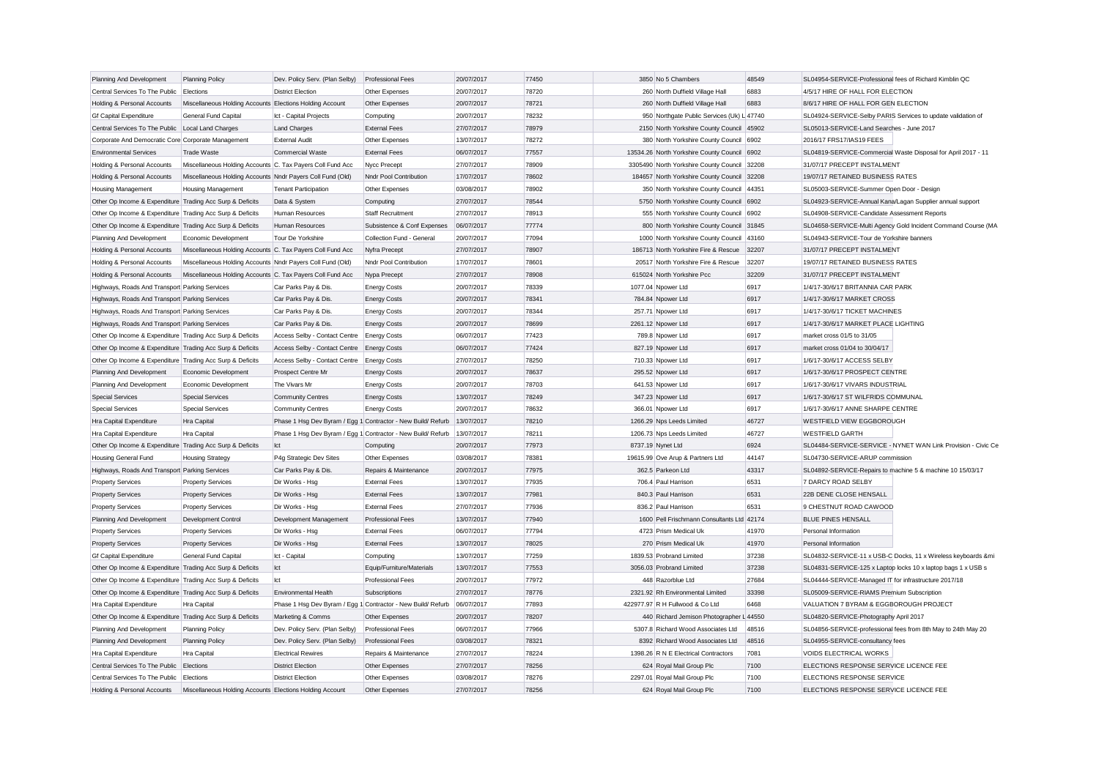| Planning And Development                                  | <b>Planning Policy</b>                                     | Dev. Policy Serv. (Plan Selby) | <b>Professional Fees</b>                                     | 20/07/2017 | 77450 | 3850 No 5 Chambers                           | 48549 | SL04954-SERVICE-Professional fees of Richard Kimblin QC       |
|-----------------------------------------------------------|------------------------------------------------------------|--------------------------------|--------------------------------------------------------------|------------|-------|----------------------------------------------|-------|---------------------------------------------------------------|
| Central Services To The Public                            | Elections                                                  | <b>District Election</b>       | Other Expenses                                               | 20/07/2017 | 78720 | 260 North Duffield Village Hall              | 6883  | 4/5/17 HIRE OF HALL FOR ELECTION                              |
| Holding & Personal Accounts                               | Miscellaneous Holding Accounts Elections Holding Account   |                                | Other Expenses                                               | 20/07/2017 | 78721 | 260 North Duffield Village Hall              | 6883  | 8/6/17 HIRE OF HALL FOR GEN ELECTION                          |
| <b>Gf Capital Expenditure</b>                             | General Fund Capital                                       | Ict - Capital Projects         | Computing                                                    | 20/07/2017 | 78232 | 950 Northgate Public Services (Uk) L 47740   |       | SL04924-SERVICE-Selby PARIS Services to update validation of  |
| Central Services To The Public                            | Local Land Charges                                         | <b>Land Charges</b>            | <b>External Fees</b>                                         | 27/07/2017 | 78979 | 2150 North Yorkshire County Council 45902    |       | SL05013-SERVICE-Land Searches - June 2017                     |
| Corporate And Democratic Core Corporate Management        |                                                            | <b>External Audit</b>          | Other Expenses                                               | 13/07/2017 | 78272 | 380 North Yorkshire County Council 6902      |       | 2016/17 FRS17/IAS19 FEES                                      |
| <b>Environmental Services</b>                             | Trade Waste                                                | Commercial Waste               | <b>External Fees</b>                                         | 06/07/2017 | 77557 | 13534.26 North Yorkshire County Council 6902 |       | SL04819-SERVICE-Commercial Waste Disposal for April 2017 - 11 |
| Holding & Personal Accounts                               | Miscellaneous Holding Accounts C. Tax Payers Coll Fund Acc |                                | Nycc Precept                                                 | 27/07/2017 | 78909 | 3305490 North Yorkshire County Council 32208 |       | 31/07/17 PRECEPT INSTALMENT                                   |
| Holding & Personal Accounts                               | Miscellaneous Holding Accounts Nndr Payers Coll Fund (Old) |                                | Nndr Pool Contribution                                       | 17/07/2017 | 78602 | 184657 North Yorkshire County Council        | 32208 | 19/07/17 RETAINED BUSINESS RATES                              |
| <b>Housing Management</b>                                 | Housing Management                                         | <b>Tenant Participation</b>    | Other Expenses                                               | 03/08/2017 | 78902 | 350 North Yorkshire County Council 44351     |       | SL05003-SERVICE-Summer Open Door - Design                     |
| Other Op Income & Expenditure Trading Acc Surp & Deficits |                                                            | Data & System                  | Computing                                                    | 27/07/2017 | 78544 | 5750 North Yorkshire County Council 6902     |       | SL04923-SERVICE-Annual Kana/Lagan Supplier annual support     |
| Other Op Income & Expenditure Trading Acc Surp & Deficits |                                                            | Human Resources                | <b>Staff Recruitment</b>                                     | 27/07/2017 | 78913 | 555 North Yorkshire County Council 6902      |       | SL04908-SERVICE-Candidate Assessment Reports                  |
| Other Op Income & Expenditure Trading Acc Surp & Deficits |                                                            | Human Resources                | Subsistence & Conf Expenses                                  | 06/07/2017 | 77774 | 800 North Yorkshire County Council 31845     |       | SL04658-SERVICE-Multi Agency Gold Incident Command Course (MA |
| Planning And Development                                  | Economic Development                                       | Tour De Yorkshire              | Collection Fund - General                                    | 20/07/2017 | 77094 | 1000 North Yorkshire County Council 43160    |       | SL04943-SERVICE-Tour de Yorkshire banners                     |
| Holding & Personal Accounts                               | Miscellaneous Holding Accounts C. Tax Payers Coll Fund Acc |                                | Nyfra Precept                                                | 27/07/2017 | 78907 | 186713 North Yorkshire Fire & Rescue         | 32207 | 31/07/17 PRECEPT INSTALMENT                                   |
| Holding & Personal Accounts                               | Miscellaneous Holding Accounts Nndr Payers Coll Fund (Old) |                                | Nndr Pool Contribution                                       | 17/07/2017 | 78601 | 20517 North Yorkshire Fire & Rescue          | 32207 | 19/07/17 RETAINED BUSINESS RATES                              |
| Holding & Personal Accounts                               | Miscellaneous Holding Accounts C. Tax Payers Coll Fund Acc |                                | Nypa Precept                                                 | 27/07/2017 | 78908 | 615024 North Yorkshire Pcc                   | 32209 | 31/07/17 PRECEPT INSTALMENT                                   |
| Highways, Roads And Transport Parking Services            |                                                            | Car Parks Pay & Dis.           | <b>Energy Costs</b>                                          | 20/07/2017 | 78339 | 1077.04 Npower Ltd                           | 6917  | 1/4/17-30/6/17 BRITANNIA CAR PARK                             |
| Highways, Roads And Transport Parking Services            |                                                            | Car Parks Pay & Dis            | <b>Energy Costs</b>                                          | 20/07/2017 | 78341 | 784.84 Npower Ltd                            | 6917  | 1/4/17-30/6/17 MARKET CROSS                                   |
| Highways, Roads And Transport Parking Services            |                                                            | Car Parks Pay & Dis            | <b>Energy Costs</b>                                          | 20/07/2017 | 78344 | 257.71 Npower Ltd                            | 6917  | 1/4/17-30/6/17 TICKET MACHINES                                |
| Highways, Roads And Transport Parking Services            |                                                            | Car Parks Pay & Dis            | <b>Energy Costs</b>                                          | 20/07/2017 | 78699 | 2261.12 Npower Ltd                           | 6917  | 1/4/17-30/6/17 MARKET PLACE LIGHTING                          |
| Other Op Income & Expenditure Trading Acc Surp & Deficits |                                                            | Access Selby - Contact Centre  | <b>Energy Costs</b>                                          | 06/07/2017 | 77423 | 789.8 Npower Ltd                             | 6917  | market cross 01/5 to 31/05                                    |
| Other Op Income & Expenditure Trading Acc Surp & Deficits |                                                            | Access Selby - Contact Centre  | <b>Energy Costs</b>                                          | 06/07/2017 | 77424 | 827.19 Npower Ltd                            | 6917  | market cross 01/04 to 30/04/17                                |
| Other Op Income & Expenditure Trading Acc Surp & Deficits |                                                            | Access Selby - Contact Centre  | <b>Energy Costs</b>                                          | 27/07/2017 | 78250 | 710.33 Npower Ltd                            | 6917  | 1/6/17-30/6/17 ACCESS SELBY                                   |
| Planning And Development                                  | Economic Development                                       | Prospect Centre Mr             | <b>Energy Costs</b>                                          | 20/07/2017 | 78637 | 295.52 Npower Ltd                            | 6917  | 1/6/17-30/6/17 PROSPECT CENTRE                                |
| Planning And Development                                  | Economic Development                                       | The Vivars Mr                  | <b>Energy Costs</b>                                          | 20/07/2017 | 78703 | 641.53 Npower Ltd                            | 6917  | 1/6/17-30/6/17 VIVARS INDUSTRIAL                              |
| <b>Special Services</b>                                   | <b>Special Services</b>                                    | <b>Community Centres</b>       | <b>Energy Costs</b>                                          | 13/07/2017 | 78249 | 347.23 Npower Ltd                            | 6917  | 1/6/17-30/6/17 ST WILFRIDS COMMUNAL                           |
| <b>Special Services</b>                                   | <b>Special Services</b>                                    | <b>Community Centres</b>       | <b>Energy Costs</b>                                          | 20/07/2017 | 78632 | 366.01 Npower Ltd                            | 6917  | 1/6/17-30/6/17 ANNE SHARPE CENTRE                             |
| Hra Capital Expenditure                                   | Hra Capital                                                |                                | Phase 1 Hsg Dev Byram / Egg 1 Contractor - New Build/Refurb  | 13/07/2017 | 78210 | 1266.29 Nps Leeds Limited                    | 46727 | WESTFIELD VIEW EGGBOROUGH                                     |
| Hra Capital Expenditure                                   | Hra Capital                                                |                                | Phase 1 Hsg Dev Byram / Egg 1 Contractor - New Build/ Refurb | 13/07/2017 | 78211 | 1206.73 Nps Leeds Limited                    | 46727 | <b>WESTFIELD GARTH</b>                                        |
| Other Op Income & Expenditure Trading Acc Surp & Deficits |                                                            | Ict                            | Computing                                                    | 20/07/2017 | 77973 | 8737.19 Nynet Ltd                            | 6924  | SL04484-SERVICE-SERVICE - NYNET WAN Link Provision - Civic Ce |
| <b>Housing General Fund</b>                               | <b>Housing Strategy</b>                                    | P4g Strategic Dev Sites        | Other Expenses                                               | 03/08/2017 | 78381 | 19615.99 Ove Arup & Partners Ltd             | 44147 | SL04730-SERVICE-ARUP commission                               |
| Highways, Roads And Transport Parking Services            |                                                            | Car Parks Pay & Dis            | Repairs & Maintenance                                        | 20/07/2017 | 77975 | 362.5 Parkeon Ltd                            | 43317 | SL04892-SERVICE-Repairs to machine 5 & machine 10 15/03/17    |
| <b>Property Services</b>                                  | <b>Property Services</b>                                   | Dir Works - Hsg                | <b>External Fees</b>                                         | 13/07/2017 | 77935 | 706.4 Paul Harrison                          | 6531  | 7 DARCY ROAD SELBY                                            |
| <b>Property Services</b>                                  | <b>Property Services</b>                                   | Dir Works - Hsg                | <b>External Fees</b>                                         | 13/07/2017 | 77981 | 840.3 Paul Harrison                          | 6531  | 22B DENE CLOSE HENSALL                                        |
| <b>Property Services</b>                                  | <b>Property Services</b>                                   | Dir Works - Hsg                | <b>External Fees</b>                                         | 27/07/2017 | 77936 | 836.2 Paul Harrison                          | 6531  | 9 CHESTNUT ROAD CAWOOD                                        |
| Planning And Development                                  | Development Control                                        | Development Management         | <b>Professional Fees</b>                                     | 13/07/2017 | 77940 | 1600 Pell Frischmann Consultants Ltd 42174   |       | <b>BLUE PINES HENSALL</b>                                     |
| <b>Property Services</b>                                  | <b>Property Services</b>                                   | Dir Works - Hsg                | <b>External Fees</b>                                         | 06/07/2017 | 77794 | 4723 Prism Medical Uk                        | 41970 | Personal Information                                          |
| <b>Property Services</b>                                  | <b>Property Services</b>                                   | Dir Works - Hsg                | <b>External Fees</b>                                         | 13/07/2017 | 78025 | 270 Prism Medical Uk                         | 41970 | Personal Information                                          |
| <b>Gf Capital Expenditure</b>                             | General Fund Capital                                       | Ict - Capital                  | Computing                                                    | 13/07/2017 | 77259 | 1839.53 Probrand Limited                     | 37238 | SL04832-SERVICE-11 x USB-C Docks, 11 x Wireless keyboards &mi |
| Other Op Income & Expenditure Trading Acc Surp & Deficits |                                                            | Ict                            | Equip/Furniture/Materials                                    | 13/07/2017 | 77553 | 3056.03 Probrand Limited                     | 37238 | SL04831-SERVICE-125 x Laptop locks 10 x laptop bags 1 x USB s |
| Other Op Income & Expenditure Trading Acc Surp & Deficits |                                                            | Ict                            | Professional Fees                                            | 20/07/2017 | 77972 | 448 Razorblue Ltd                            | 27684 | SL04444-SERVICE-Managed IT for infrastructure 2017/18         |
| Other Op Income & Expenditure Trading Acc Surp & Deficits |                                                            | <b>Environmental Health</b>    | Subscriptions                                                | 27/07/2017 | 78776 | 2321.92 Rh Environmental Limited             | 33398 | SL05009-SERVICE-RIAMS Premium Subscription                    |
| Hra Capital Expenditure                                   | Hra Capital                                                |                                | Phase 1 Hsg Dev Byram / Egg 1 Contractor - New Build/ Refurb | 06/07/2017 | 77893 | 422977.97 R H Fullwood & Co Ltd              | 6468  | VALUATION 7 BYRAM & EGGBOROUGH PROJECT                        |
| Other Op Income & Expenditure Trading Acc Surp & Deficits |                                                            | Marketing & Comms              | Other Expenses                                               | 20/07/2017 | 78207 | 440 Richard Jemison Photographer L 44550     |       | SL04820-SERVICE-Photography April 2017                        |
| Planning And Development                                  | <b>Planning Policy</b>                                     | Dev. Policy Serv. (Plan Selby) | <b>Professional Fees</b>                                     | 06/07/2017 | 77966 | 5307.8 Richard Wood Associates Ltd           | 48516 | SL04856-SERVICE-professional fees from 8th May to 24th May 20 |
| Planning And Development                                  | <b>Planning Policy</b>                                     | Dev. Policy Serv. (Plan Selby) | Professional Fees                                            | 03/08/2017 | 78321 | 8392 Richard Wood Associates Ltd             | 48516 | SL04955-SERVICE-consultancy fees                              |
| Hra Capital Expenditure                                   | Hra Capital                                                | <b>Electrical Rewires</b>      | Repairs & Maintenance                                        | 27/07/2017 | 78224 | 1398.26 R N E Electrical Contractors         | 7081  | VOIDS ELECTRICAL WORKS                                        |
| Central Services To The Public                            | Elections                                                  | <b>District Election</b>       | Other Expenses                                               | 27/07/2017 | 78256 | 624 Royal Mail Group Plc                     | 7100  | ELECTIONS RESPONSE SERVICE LICENCE FEE                        |
| Central Services To The Public                            | Elections                                                  | <b>District Election</b>       | Other Expenses                                               | 03/08/2017 | 78276 | 2297.01 Royal Mail Group Plc                 | 7100  | ELECTIONS RESPONSE SERVICE                                    |
| Holding & Personal Accounts                               | Miscellaneous Holding Accounts Elections Holding Account   |                                | Other Expenses                                               | 27/07/2017 | 78256 | 624 Roval Mail Group Plc                     | 7100  | ELECTIONS RESPONSE SERVICE LICENCE FEE                        |
|                                                           |                                                            |                                |                                                              |            |       |                                              |       |                                                               |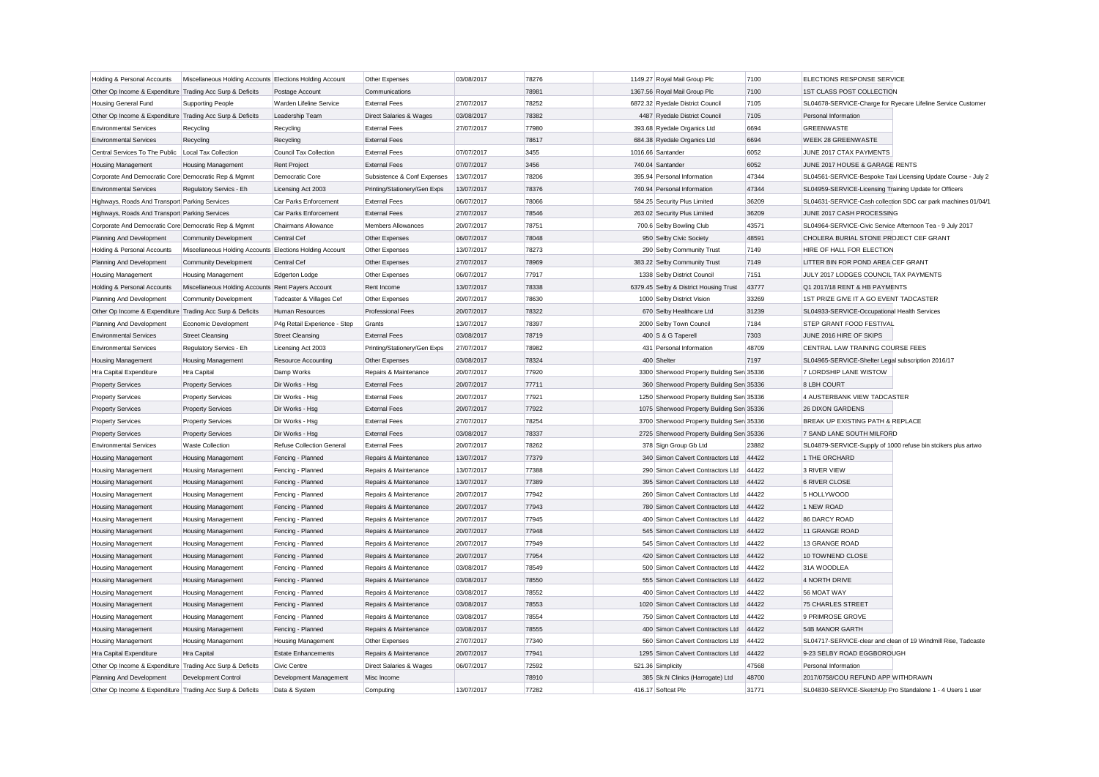| Holding & Personal Accounts                               | Miscellaneous Holding Accounts Elections Holding Account  |                                              | Other Expenses               | 03/08/2017 | 78276 | 1149.27 Royal Mail Group Plc              | 7100  | ELECTIONS RESPONSE SERVICE                                    |                                                               |
|-----------------------------------------------------------|-----------------------------------------------------------|----------------------------------------------|------------------------------|------------|-------|-------------------------------------------|-------|---------------------------------------------------------------|---------------------------------------------------------------|
| Other Op Income & Expenditure Trading Acc Surp & Deficits |                                                           | Postage Account                              | Communications               |            | 78981 | 1367.56 Royal Mail Group Plc              | 7100  | <b>1ST CLASS POST COLLECTION</b>                              |                                                               |
| <b>Housing General Fund</b>                               | <b>Supporting People</b>                                  | Warden Lifeline Service                      | <b>External Fees</b>         | 27/07/2017 | 78252 | 6872.32 Ryedale District Council          | 7105  |                                                               | SL04678-SERVICE-Charge for Ryecare Lifeline Service Customer  |
| Other Op Income & Expenditure Trading Acc Surp & Deficits |                                                           | Leadership Team                              | Direct Salaries & Wages      | 03/08/2017 | 78382 | 4487 Ryedale District Council             | 7105  | Personal Information                                          |                                                               |
| <b>Environmental Services</b>                             | Recycling                                                 | Recycling                                    | <b>External Fees</b>         | 27/07/2017 | 77980 | 393.68 Ryedale Organics Ltd               | 6694  | <b>GREENWASTE</b>                                             |                                                               |
| <b>Environmental Services</b>                             | Recycling                                                 | Recycling                                    | <b>External Fees</b>         |            | 78617 | 684.38 Ryedale Organics Ltd               | 6694  | WEEK 28 GREENWASTE                                            |                                                               |
| Central Services To The Public                            | Local Tax Collection                                      | Council Tax Collection                       | <b>External Fees</b>         | 07/07/2017 | 3455  | 1016.66 Santander                         | 6052  | JUNE 2017 CTAX PAYMENTS                                       |                                                               |
| <b>Housing Management</b>                                 | Housing Management                                        | Rent Project                                 | <b>External Fees</b>         | 07/07/2017 | 3456  | 740.04 Santander                          | 6052  | JUNE 2017 HOUSE & GARAGE RENTS                                |                                                               |
| Corporate And Democratic Core Democratic Rep & Mgmnt      |                                                           | Democratic Core                              | Subsistence & Conf Expenses  | 13/07/2017 | 78206 | 395.94 Personal Information               | 47344 |                                                               | SL04561-SERVICE-Bespoke Taxi Licensing Update Course - July 2 |
| <b>Environmental Services</b>                             | Regulatory Servics - Eh                                   | Licensing Act 2003                           | Printing/Stationery/Gen Exps | 13/07/2017 | 78376 | 740.94 Personal Information               | 47344 | SL04959-SERVICE-Licensing Training Update for Officers        |                                                               |
| Highways, Roads And Transport Parking Services            |                                                           | Car Parks Enforcement                        | <b>External Fees</b>         | 06/07/2017 | 78066 | 584.25 Security Plus Limited              | 36209 |                                                               | SL04631-SERVICE-Cash collection SDC car park machines 01/04/1 |
| Highways, Roads And Transport Parking Services            |                                                           | Car Parks Enforcement                        | <b>External Fees</b>         | 27/07/2017 | 78546 | 263.02 Security Plus Limited              | 36209 | JUNE 2017 CASH PROCESSING                                     |                                                               |
| Corporate And Democratic Core Democratic Rep & Mgmnt      |                                                           | Chairmans Allowance                          | Members Allowances           | 20/07/2017 | 78751 | 700.6 Selby Bowling Club                  | 43571 | SL04964-SERVICE-Civic Service Afternoon Tea - 9 July 2017     |                                                               |
| Planning And Development                                  | <b>Community Development</b>                              | Central Cef                                  | Other Expenses               | 06/07/2017 | 78048 | 950 Selby Civic Society                   | 48591 | CHOLERA BURIAL STONE PROJECT CEF GRANT                        |                                                               |
| Holding & Personal Accounts                               | Miscellaneous Holding Accounts Elections Holding Account  |                                              | Other Expenses               | 13/07/2017 | 78273 | 290 Selby Community Trust                 | 7149  | HIRE OF HALL FOR ELECTION                                     |                                                               |
| Planning And Development                                  | <b>Community Development</b>                              | Central Cef                                  | Other Expenses               | 27/07/2017 | 78969 | 383.22 Selby Community Trust              | 7149  | LITTER BIN FOR POND AREA CEF GRANT                            |                                                               |
| Housing Management                                        | Housing Management                                        | <b>Edgerton Lodge</b>                        | Other Expenses               | 06/07/2017 | 77917 | 1338 Selby District Council               | 7151  | JULY 2017 LODGES COUNCIL TAX PAYMENTS                         |                                                               |
| Holding & Personal Accounts                               | Miscellaneous Holding Accounts Rent Payers Account        |                                              | Rent Income                  | 13/07/2017 | 78338 | 6379.45 Selby & District Housing Trust    | 43777 | Q1 2017/18 RENT & HB PAYMENTS                                 |                                                               |
| Planning And Development                                  | <b>Community Development</b>                              | Tadcaster & Villages Cef                     | Other Expenses               | 20/07/2017 | 78630 | 1000 Selby District Vision                | 33269 | 1ST PRIZE GIVE IT A GO EVENT TADCASTER                        |                                                               |
| Other Op Income & Expenditure Trading Acc Surp & Deficits |                                                           | Human Resources                              | <b>Professional Fees</b>     | 20/07/2017 | 78322 | 670 Selby Healthcare Ltd                  | 31239 | SL04933-SERVICE-Occupational Health Services                  |                                                               |
| Planning And Development                                  | Economic Development                                      | P4g Retail Experience - Step                 | Grants                       | 13/07/2017 | 78397 | 2000 Selby Town Council                   | 7184  | STEP GRANT FOOD FESTIVAL                                      |                                                               |
| <b>Environmental Services</b>                             | <b>Street Cleansing</b>                                   | <b>Street Cleansing</b>                      | <b>External Fees</b>         | 03/08/2017 | 78719 | 400 S & G Taperell                        | 7303  | JUNE 2016 HIRE OF SKIPS                                       |                                                               |
| <b>Environmental Services</b>                             | Regulatory Servics - Eh                                   | Licensing Act 2003                           | Printing/Stationery/Gen Exps | 27/07/2017 | 78982 | 431 Personal Information                  | 48709 | CENTRAL LAW TRAINING COURSE FEES                              |                                                               |
| Housing Management                                        | <b>Housing Management</b>                                 | Resource Accounting                          | Other Expenses               | 03/08/2017 | 78324 | 400 Shelter                               | 7197  | SL04965-SERVICE-Shelter Legal subscription 2016/17            |                                                               |
| Hra Capital Expenditure                                   | Hra Capital                                               | Damp Works                                   | Repairs & Maintenance        | 20/07/2017 | 77920 | 3300 Sherwood Property Building Sen 35336 |       | 7 LORDSHIP LANE WISTOW                                        |                                                               |
| <b>Property Services</b>                                  | <b>Property Services</b>                                  | Dir Works - Hsg                              | <b>External Fees</b>         | 20/07/2017 | 77711 | 360 Sherwood Property Building Sen 35336  |       | 8 LBH COURT                                                   |                                                               |
| <b>Property Services</b>                                  | <b>Property Services</b>                                  | Dir Works - Hsg                              | <b>External Fees</b>         | 20/07/2017 | 77921 | 1250 Sherwood Property Building Sen 35336 |       | 4 AUSTERBANK VIEW TADCASTER                                   |                                                               |
| <b>Property Services</b>                                  | <b>Property Services</b>                                  | Dir Works - Hsg                              | <b>External Fees</b>         | 20/07/2017 | 77922 | 1075 Sherwood Property Building Sen 35336 |       | <b>26 DIXON GARDENS</b>                                       |                                                               |
|                                                           | <b>Property Services</b>                                  | Dir Works - Hsg                              | <b>External Fees</b>         | 27/07/2017 | 78254 | 3700 Sherwood Property Building Sen 35336 |       | BREAK UP EXISTING PATH & REPLACE                              |                                                               |
| <b>Property Services</b>                                  |                                                           |                                              | <b>External Fees</b>         | 03/08/2017 | 78337 | 2725 Sherwood Property Building Sen 35336 |       | 7 SAND LANE SOUTH MILFORD                                     |                                                               |
| <b>Property Services</b><br><b>Environmental Services</b> | <b>Property Services</b><br><b>Waste Collection</b>       | Dir Works - Hsg<br>Refuse Collection General | <b>External Fees</b>         | 20/07/2017 | 78262 | 378 Sign Group Gb Ltd                     | 23882 |                                                               |                                                               |
|                                                           |                                                           |                                              |                              |            |       |                                           |       | SL04879-SERVICE-Supply of 1000 refuse bin stcikers plus artwo |                                                               |
| Housing Management                                        | Housing Management                                        | Fencing - Planned                            | Repairs & Maintenance        | 13/07/2017 | 77379 | 340 Simon Calvert Contractors Ltd         | 44422 | 1 THE ORCHARD                                                 |                                                               |
| Housing Management                                        | Housing Management                                        | Fencing - Planned                            | Repairs & Maintenance        | 13/07/2017 | 77388 | 290 Simon Calvert Contractors Ltd         | 44422 | 3 RIVER VIEW                                                  |                                                               |
| Housing Management                                        | Housing Management                                        | Fencing - Planned                            | Repairs & Maintenance        | 13/07/2017 | 77389 | 395 Simon Calvert Contractors Ltd         | 44422 | <b>6 RIVER CLOSE</b>                                          |                                                               |
| Housing Management                                        | <b>Housing Management</b>                                 | Fencing - Planned                            | Repairs & Maintenance        | 20/07/2017 | 77942 | 260 Simon Calvert Contractors Ltd         | 44422 | 5 HOLLYWOOD                                                   |                                                               |
| Housing Management                                        | <b>Housing Management</b>                                 | Fencing - Planned                            | Repairs & Maintenance        | 20/07/2017 | 77943 | 780 Simon Calvert Contractors Ltd         | 44422 | 1 NEW ROAD                                                    |                                                               |
| Housing Management                                        | <b>Housing Management</b>                                 | Fencing - Planned                            | Repairs & Maintenance        | 20/07/2017 | 77945 | 400 Simon Calvert Contractors Ltd         | 44422 | 86 DARCY ROAD                                                 |                                                               |
| Housing Management                                        | <b>Housing Management</b>                                 | Fencing - Planned                            | Repairs & Maintenance        | 20/07/2017 | 77948 | 545 Simon Calvert Contractors Ltd         | 44422 | 11 GRANGE ROAD                                                |                                                               |
| <b>Housing Management</b>                                 | Housing Management                                        | Fencing - Planned                            | Repairs & Maintenance        | 20/07/2017 | 77949 | 545 Simon Calvert Contractors Ltd         | 44422 | 13 GRANGE ROAD                                                |                                                               |
| Housing Management                                        | Housing Management                                        | Fencing - Planned                            | Repairs & Maintenance        | 20/07/2017 | 77954 | 420 Simon Calvert Contractors Ltd         | 44422 | 10 TOWNEND CLOSE                                              |                                                               |
| <b>Housing Management</b>                                 | <b>Housing Management</b>                                 | Fencing - Planned                            | Repairs & Maintenance        | 03/08/2017 | 78549 | 500 Simon Calvert Contractors Ltd         | 44422 | 31A WOODLEA                                                   |                                                               |
| Housing Management                                        | Housing Management                                        | Fencing - Planned                            | Repairs & Maintenance        | 03/08/2017 | 78550 | 555 Simon Calvert Contractors Ltd         | 44422 | 4 NORTH DRIVE                                                 |                                                               |
| Housing Management                                        | Housing Management                                        | Fencing - Planned                            | Repairs & Maintenance        | 03/08/2017 | 78552 | 400 Simon Calvert Contractors Ltd         | 44422 | 56 MOAT WAY                                                   |                                                               |
| Housing Management                                        | Housing Management                                        | Fencing - Planned                            | Repairs & Maintenance        | 03/08/2017 | 78553 | 1020 Simon Calvert Contractors Ltd        | 44422 | <b>75 CHARLES STREET</b>                                      |                                                               |
| <b>Housing Management</b>                                 | Housing Management                                        | Fencing - Planned                            | Repairs & Maintenance        | 03/08/2017 | 78554 | 750 Simon Calvert Contractors Ltd         | 44422 | 9 PRIMROSE GROVE                                              |                                                               |
| Housing Management                                        | Housing Management                                        | Fencing - Planned                            | Repairs & Maintenance        | 03/08/2017 | 78555 | 400 Simon Calvert Contractors Ltd         | 44422 | 54B MANOR GARTH                                               |                                                               |
| <b>Housing Management</b>                                 | Housing Management                                        | <b>Housing Management</b>                    | Other Expenses               | 27/07/2017 | 77340 | 560 Simon Calvert Contractors Ltd         | 44422 | SL04717-SERVICE-clear and clean of 19 Windmill Rise, Tadcaste |                                                               |
| Hra Capital Expenditure                                   | Hra Capital                                               | <b>Estate Enhancements</b>                   | Repairs & Maintenance        | 20/07/2017 | 77941 | 1295 Simon Calvert Contractors Ltd        | 44422 | 9-23 SELBY ROAD EGGBOROUGH                                    |                                                               |
| Other Op Income & Expenditure Trading Acc Surp & Deficits |                                                           | <b>Civic Centre</b>                          | Direct Salaries & Wages      | 06/07/2017 | 72592 | 521.36 Simplicity                         | 47568 | Personal Information                                          |                                                               |
| Planning And Development                                  | <b>Development Control</b>                                | Development Management                       | Misc Income                  |            | 78910 | 385 Sk:N Clinics (Harrogate) Ltd          | 48700 | 2017/0758/COU REFUND APP WITHDRAWN                            |                                                               |
|                                                           | Other Op Income & Expenditure Trading Acc Surp & Deficits | Data & System                                | Computing                    | 13/07/2017 | 77282 | 416.17 Softcat Plc                        | 31771 | SL04830-SERVICE-SketchUp Pro Standalone 1 - 4 Users 1 user    |                                                               |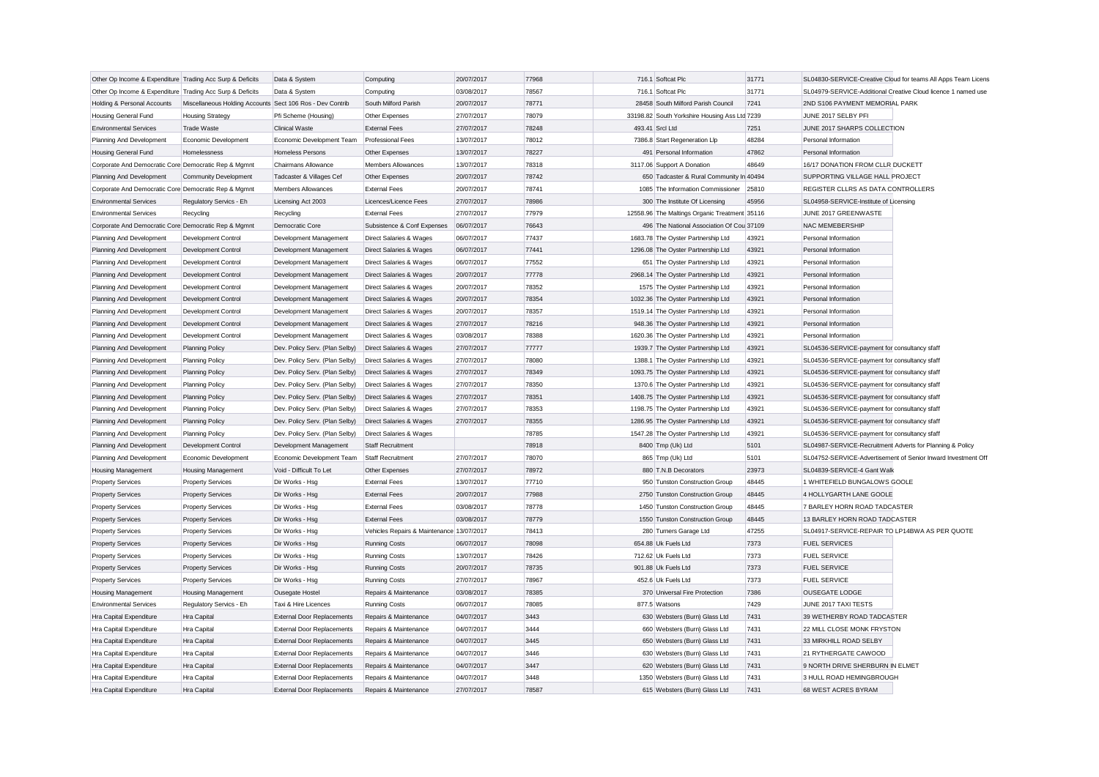| Other Op Income & Expenditure Trading Acc Surp & Deficits |                                                           | Data & System                      | Computing                                    | 20/07/2017 | 77968 | 716.1 Softcat Plc                             | 31771 |                                                           | SL04830-SERVICE-Creative Cloud for teams All Apps Team Licens |
|-----------------------------------------------------------|-----------------------------------------------------------|------------------------------------|----------------------------------------------|------------|-------|-----------------------------------------------|-------|-----------------------------------------------------------|---------------------------------------------------------------|
| Other Op Income & Expenditure Trading Acc Surp & Deficits |                                                           | Data & System                      | Computing                                    | 03/08/2017 | 78567 | 716.1 Softcat Plc                             | 31771 |                                                           | SL04979-SERVICE-Additional Creative Cloud licence 1 named use |
| Holding & Personal Accounts                               | Miscellaneous Holding Accounts Sect 106 Ros - Dev Contrib |                                    | South Milford Parish                         | 20/07/2017 | 78771 | 28458 South Milford Parish Council            | 7241  | 2ND S106 PAYMENT MEMORIAL PARK                            |                                                               |
| <b>Housing General Fund</b>                               | <b>Housing Strategy</b>                                   | Pfi Scheme (Housing)               | Other Expenses                               | 27/07/2017 | 78079 | 33198.82 South Yorkshire Housing Ass Ltd 7239 |       | JUNE 2017 SELBY PFI                                       |                                                               |
| <b>Environmental Services</b>                             | Trade Waste                                               | <b>Clinical Waste</b>              | <b>External Fees</b>                         | 27/07/2017 | 78248 | 493.41 Srcl Ltd                               | 7251  | JUNE 2017 SHARPS COLLECTION                               |                                                               |
| Planning And Development                                  | Economic Development                                      | Economic Development Team          | <b>Professional Fees</b>                     | 13/07/2017 | 78012 | 7386.8 Start Regeneration Llp                 | 48284 | Personal Information                                      |                                                               |
| <b>Housing General Fund</b>                               | Homelessness                                              | <b>Homeless Persons</b>            | Other Expenses                               | 13/07/2017 | 78227 | 491 Personal Information                      | 47862 | Personal Information                                      |                                                               |
| Corporate And Democratic Core Democratic Rep & Mgmnt      |                                                           | <b>Chairmans Allowance</b>         | <b>Members Allowances</b>                    | 13/07/2017 | 78318 | 3117.06 Support A Donation                    | 48649 | 16/17 DONATION FROM CLLR DUCKETT                          |                                                               |
| Planning And Development                                  | <b>Community Development</b>                              | Tadcaster & Villages Cef           | Other Expenses                               | 20/07/2017 | 78742 | 650 Tadcaster & Rural Community In 40494      |       | SUPPORTING VILLAGE HALL PROJECT                           |                                                               |
| Corporate And Democratic Core Democratic Rep & Mgmnt      |                                                           | <b>Members Allowances</b>          | <b>External Fees</b>                         | 20/07/2017 | 78741 | 1085 The Information Commissioner             | 25810 | REGISTER CLLRS AS DATA CONTROLLERS                        |                                                               |
| <b>Environmental Services</b>                             | Regulatory Servics - Eh                                   | Licensing Act 2003                 | Licences/Licence Fees                        | 27/07/2017 | 78986 | 300 The Institute Of Licensing                | 45956 | SL04958-SERVICE-Institute of Licensing                    |                                                               |
| <b>Environmental Services</b>                             | Recycling                                                 | Recycling                          | <b>External Fees</b>                         | 27/07/2017 | 77979 | 12558.96 The Maltings Organic Treatment 35116 |       | JUNE 2017 GREENWASTE                                      |                                                               |
| Corporate And Democratic Core Democratic Rep & Mgmnt      |                                                           | Democratic Core                    | Subsistence & Conf Expenses                  | 06/07/2017 | 76643 | 496 The National Association Of Cou 37109     |       | NAC MEMEBERSHIP                                           |                                                               |
| Planning And Development                                  | <b>Development Control</b>                                | Development Management             | Direct Salaries & Wages                      | 06/07/2017 | 77437 | 1683.78 The Oyster Partnership Ltd            | 43921 | Personal Information                                      |                                                               |
| Planning And Development                                  | Development Control                                       | Development Management             | Direct Salaries & Wages                      | 06/07/2017 | 77441 | 1296.08 The Oyster Partnership Ltd            | 43921 | Personal Information                                      |                                                               |
| Planning And Development                                  | Development Control                                       | Development Management             | Direct Salaries & Wages                      | 06/07/2017 | 77552 | 651 The Oyster Partnership Ltd                | 43921 | Personal Information                                      |                                                               |
| Planning And Development                                  | Development Control                                       | Development Management             | Direct Salaries & Wages                      | 20/07/2017 | 77778 | 2968.14 The Oyster Partnership Ltd            | 43921 | Personal Information                                      |                                                               |
| Planning And Development                                  | Development Control                                       | Development Management             | Direct Salaries & Wages                      | 20/07/2017 | 78352 | 1575 The Oyster Partnership Ltd               | 43921 | Personal Information                                      |                                                               |
| Planning And Development                                  | Development Control                                       | Development Management             | Direct Salaries & Wages                      | 20/07/2017 | 78354 | 1032.36 The Oyster Partnership Ltd            | 43921 | Personal Information                                      |                                                               |
| Planning And Development                                  | Development Control                                       | Development Management             | Direct Salaries & Wages                      | 20/07/2017 | 78357 | 1519.14 The Oyster Partnership Ltd            | 43921 | Personal Information                                      |                                                               |
| Planning And Development                                  | Development Control                                       | Development Management             | Direct Salaries & Wages                      | 27/07/2017 | 78216 | 948.36 The Oyster Partnership Ltd             | 43921 | Personal Information                                      |                                                               |
| Planning And Development                                  | Development Control                                       | Development Management             | Direct Salaries & Wages                      | 03/08/2017 | 78388 | 1620.36 The Oyster Partnership Ltd            | 43921 | Personal Information                                      |                                                               |
| Planning And Development                                  | <b>Planning Policy</b>                                    | Dev. Policy Serv. (Plan Selby)     | Direct Salaries & Wages                      | 27/07/2017 | 77777 | 1939.7 The Oyster Partnership Ltd             | 43921 | SL04536-SERVICE-payment for consultancy sfaff             |                                                               |
| Planning And Development                                  | <b>Planning Policy</b>                                    | Dev. Policy Serv. (Plan Selby)     | Direct Salaries & Wages                      | 27/07/2017 | 78080 | 1388.1 The Oyster Partnership Ltd             | 43921 | SL04536-SERVICE-payment for consultancy sfaff             |                                                               |
| Planning And Development                                  | <b>Planning Policy</b>                                    | Dev. Policy Serv. (Plan Selby)     | Direct Salaries & Wages                      | 27/07/2017 | 78349 | 1093.75 The Oyster Partnership Ltd            | 43921 | SL04536-SERVICE-payment for consultancy sfaff             |                                                               |
| Planning And Development                                  | <b>Planning Policy</b>                                    | Dev. Policy Serv. (Plan Selby)     | Direct Salaries & Wages                      | 27/07/2017 | 78350 | 1370.6 The Oyster Partnership Ltd             | 43921 | SL04536-SERVICE-payment for consultancy sfaff             |                                                               |
| Planning And Development                                  | <b>Planning Policy</b>                                    | Dev. Policy Serv. (Plan Selby)     | Direct Salaries & Wages                      | 27/07/2017 | 78351 | 1408.75 The Oyster Partnership Ltd            | 43921 | SL04536-SERVICE-payment for consultancy sfaff             |                                                               |
| Planning And Development                                  | <b>Planning Policy</b>                                    | Dev. Policy Serv. (Plan Selby)     | Direct Salaries & Wages                      | 27/07/2017 | 78353 | 1198.75 The Oyster Partnership Ltd            | 43921 | SL04536-SERVICE-payment for consultancy sfaff             |                                                               |
| Planning And Development                                  | <b>Planning Policy</b>                                    | Dev. Policy Serv. (Plan Selby)     | Direct Salaries & Wages                      | 27/07/2017 | 78355 | 1286.95 The Oyster Partnership Ltd            | 43921 | SL04536-SERVICE-payment for consultancy sfaff             |                                                               |
| Planning And Development                                  | <b>Planning Policy</b>                                    | Dev. Policy Serv. (Plan Selby)     | Direct Salaries & Wages                      |            | 78785 | 1547.28 The Oyster Partnership Ltd            | 43921 | SL04536-SERVICE-payment for consultancy sfaff             |                                                               |
| Planning And Development                                  | Development Control                                       | Development Management             | <b>Staff Recruitment</b>                     |            | 78918 | 8400 Tmp (Uk) Ltd                             | 5101  | SL04987-SERVICE-Recruitment Adverts for Planning & Policy |                                                               |
| Planning And Development                                  | Economic Development                                      | Economic Development Team          | Staff Recruitment                            | 27/07/2017 | 78070 | 865 Tmp (Uk) Ltd                              | 5101  |                                                           | SL04752-SERVICE-Advertisement of Senior Inward Investment Off |
| Housing Management                                        | Housing Management                                        | Void - Difficult To Let            | Other Expenses                               | 27/07/2017 | 78972 | 880 T.N.B Decorators                          | 23973 | SL04839-SERVICE-4 Gant Walk                               |                                                               |
| <b>Property Services</b>                                  | <b>Property Services</b>                                  | Dir Works - Hsg                    | <b>External Fees</b>                         | 13/07/2017 | 77710 | 950 Tunston Construction Group                | 48445 | 1 WHITEFIELD BUNGALOWS GOOLE                              |                                                               |
|                                                           |                                                           | Dir Works - Hsg                    | <b>External Fees</b>                         | 20/07/2017 | 77988 | 2750 Tunston Construction Group               | 48445 | 4 HOLLYGARTH LANE GOOLE                                   |                                                               |
| <b>Property Services</b><br><b>Property Services</b>      | <b>Property Services</b><br><b>Property Services</b>      | Dir Works - Hsg                    | <b>External Fees</b>                         | 03/08/2017 | 78778 | 1450 Tunston Construction Group               | 48445 | 7 BARLEY HORN ROAD TADCASTER                              |                                                               |
|                                                           |                                                           | Dir Works - Hsg                    | <b>External Fees</b>                         | 03/08/2017 | 78779 | 1550 Tunston Construction Group               | 48445 | 13 BARLEY HORN ROAD TADCASTER                             |                                                               |
| <b>Property Services</b>                                  | <b>Property Services</b>                                  |                                    | Vehicles Repairs & Maintenance 13/07/2017    |            | 78413 | 280 Turners Garage Ltd                        | 47255 | SL04917-SERVICE-REPAIR TO LP14BWA AS PER QUOTE            |                                                               |
| <b>Property Services</b>                                  | <b>Property Services</b>                                  | Dir Works - Hsg<br>Dir Works - Hsg |                                              | 06/07/2017 | 78098 | 654.88 Uk Fuels Ltd                           | 7373  | <b>FUEL SERVICES</b>                                      |                                                               |
| <b>Property Services</b>                                  | <b>Property Services</b>                                  |                                    | <b>Running Costs</b>                         | 13/07/2017 | 78426 | 712.62 Uk Fuels Ltd                           | 7373  | <b>FUEL SERVICE</b>                                       |                                                               |
| <b>Property Services</b>                                  | <b>Property Services</b><br><b>Property Services</b>      | Dir Works - Hsg<br>Dir Works - Hsg | <b>Running Costs</b><br><b>Running Costs</b> | 20/07/2017 | 78735 | 901.88 Uk Fuels Ltd                           | 7373  | <b>FUEL SERVICE</b>                                       |                                                               |
| <b>Property Services</b>                                  |                                                           |                                    |                                              |            |       |                                               |       |                                                           |                                                               |
| <b>Property Services</b>                                  | <b>Property Services</b>                                  | Dir Works - Hsg                    | <b>Running Costs</b>                         | 27/07/2017 | 78967 | 452.6 Uk Fuels Ltd                            | 7373  | <b>FUEL SERVICE</b>                                       |                                                               |
| <b>Housing Management</b>                                 | <b>Housing Management</b>                                 | <b>Ousegate Hostel</b>             | Repairs & Maintenance                        | 03/08/2017 | 78385 | 370 Universal Fire Protection                 | 7386  | <b>OUSEGATE LODGE</b>                                     |                                                               |
| <b>Environmental Services</b>                             | Regulatory Servics - Eh                                   | Taxi & Hire Licences               | <b>Running Costs</b>                         | 06/07/2017 | 78085 | 877.5 Watsons                                 | 7429  | JUNE 2017 TAXI TESTS                                      |                                                               |
| Hra Capital Expenditure                                   | Hra Capital                                               | <b>External Door Replacements</b>  | Repairs & Maintenance                        | 04/07/2017 | 3443  | 630 Websters (Burn) Glass Ltd                 | 7431  | 39 WETHERBY ROAD TADCASTER                                |                                                               |
| Hra Capital Expenditure                                   | Hra Capital                                               | <b>External Door Replacements</b>  | Repairs & Maintenance                        | 04/07/2017 | 3444  | 660 Websters (Burn) Glass Ltd                 | 7431  | 22 MILL CLOSE MONK FRYSTON                                |                                                               |
| Hra Capital Expenditure                                   | Hra Capital                                               | <b>External Door Replacements</b>  | Repairs & Maintenance                        | 04/07/2017 | 3445  | 650 Websters (Burn) Glass Ltd                 | 7431  | 33 MIRKHILL ROAD SELBY                                    |                                                               |
| Hra Capital Expenditure                                   | Hra Capital                                               | <b>External Door Replacements</b>  | Repairs & Maintenance                        | 04/07/2017 | 3446  | 630 Websters (Burn) Glass Ltd                 | 7431  | 21 RYTHERGATE CAWOOD                                      |                                                               |
| Hra Capital Expenditure                                   | Hra Capital                                               | <b>External Door Replacements</b>  | Repairs & Maintenance                        | 04/07/2017 | 3447  | 620 Websters (Burn) Glass Ltd                 | 7431  | 9 NORTH DRIVE SHERBURN IN ELMET                           |                                                               |
| Hra Capital Expenditure                                   | Hra Capital                                               | <b>External Door Replacements</b>  | Repairs & Maintenance                        | 04/07/2017 | 3448  | 1350 Websters (Burn) Glass Ltd                | 7431  | 3 HULL ROAD HEMINGBROUGH                                  |                                                               |
| Hra Capital Expenditure                                   | Hra Capital                                               | <b>External Door Replacements</b>  | Repairs & Maintenance                        | 27/07/2017 | 78587 | 615 Websters (Burn) Glass Ltd                 | 7431  | 68 WEST ACRES BYRAM                                       |                                                               |